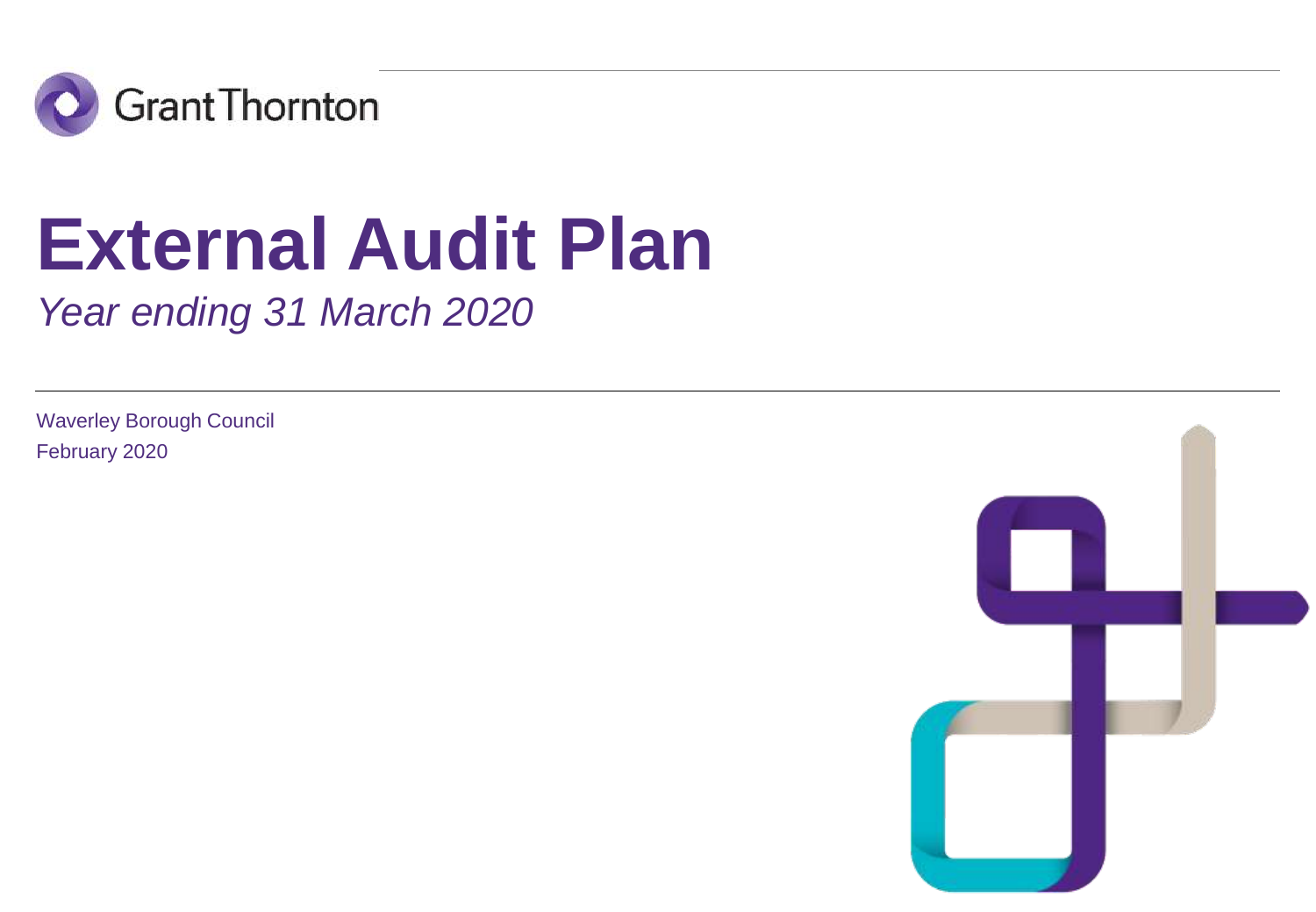

# **External Audit Plan**

*Year ending 31 March 2020*

Waverley Borough Council February 2020

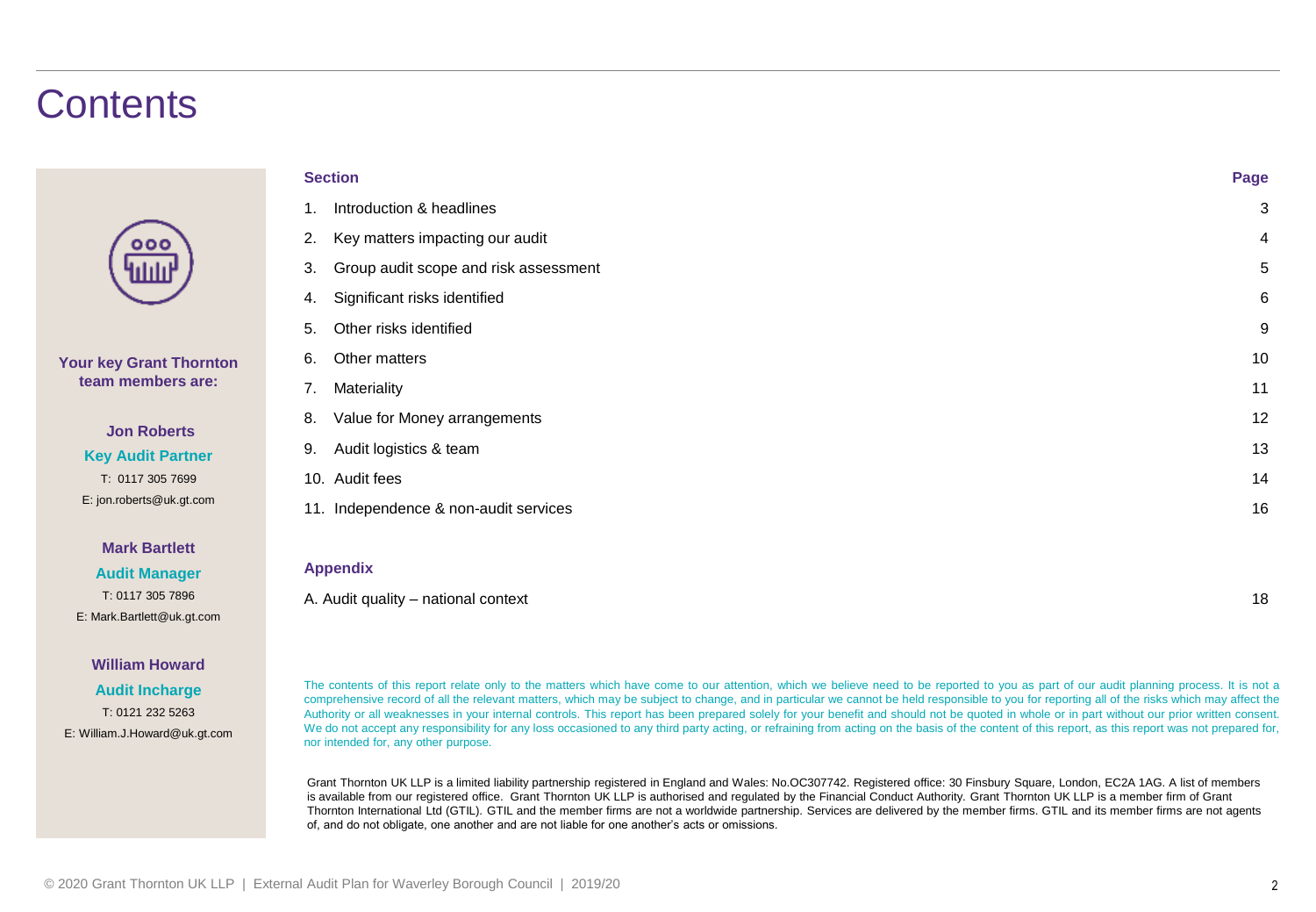### **Contents**

| $\bullet$<br>п<br>۰ |  |
|---------------------|--|
| ШЩ                  |  |

### **Your key Grant Thornton team members are:**

### **Jon Roberts Key Audit Partner** T: 0117 305 7699 E: jon.roberts@uk.gt.com

### **Mark Bartlett**

**Audit Manager** T: 0117 305 7896 E: Mark.Bartlett@uk.gt.com

### **William Howard**

**Audit Incharge** T: 0121 232 5263 E: William.J.Howard@uk.gt.com

| <b>Section</b> |                                       |                |
|----------------|---------------------------------------|----------------|
| 1.             | Introduction & headlines              | 3              |
| 2.             | Key matters impacting our audit       | $\overline{4}$ |
| 3.             | Group audit scope and risk assessment | 5              |
| 4.             | Significant risks identified          | 6              |
| 5.             | Other risks identified                | 9              |
| 6.             | Other matters                         | 10             |
| 7.             | Materiality                           | 11             |
| 8.             | Value for Money arrangements          | 12             |
| 9.             | Audit logistics & team                | 13             |
| 10.            | Audit fees                            | 14             |
|                | 11. Independence & non-audit services | 16             |
|                |                                       |                |
|                | <b>Appendix</b>                       |                |

A. Audit quality – national context 18

The contents of this report relate only to the matters which have come to our attention, which we believe need to be reported to you as part of our audit planning process. It is not a comprehensive record of all the relevant matters, which may be subject to change, and in particular we cannot be held responsible to you for reporting all of the risks which may affect the Authority or all weaknesses in your internal controls. This report has been prepared solely for your benefit and should not be quoted in whole or in part without our prior written consent. We do not accept any responsibility for any loss occasioned to any third party acting, or refraining from acting on the basis of the content of this report, as this report was not prepared for, nor intended for, any other purpose.

Grant Thornton UK LLP is a limited liability partnership registered in England and Wales: No.OC307742. Registered office: 30 Finsbury Square, London, EC2A 1AG. A list of members is available from our registered office. Grant Thornton UK LLP is authorised and regulated by the Financial Conduct Authority. Grant Thornton UK LLP is a member firm of Grant Thornton International Ltd (GTIL). GTIL and the member firms are not a worldwide partnership. Services are delivered by the member firms. GTIL and its member firms are not agents of, and do not obligate, one another and are not liable for one another's acts or omissions.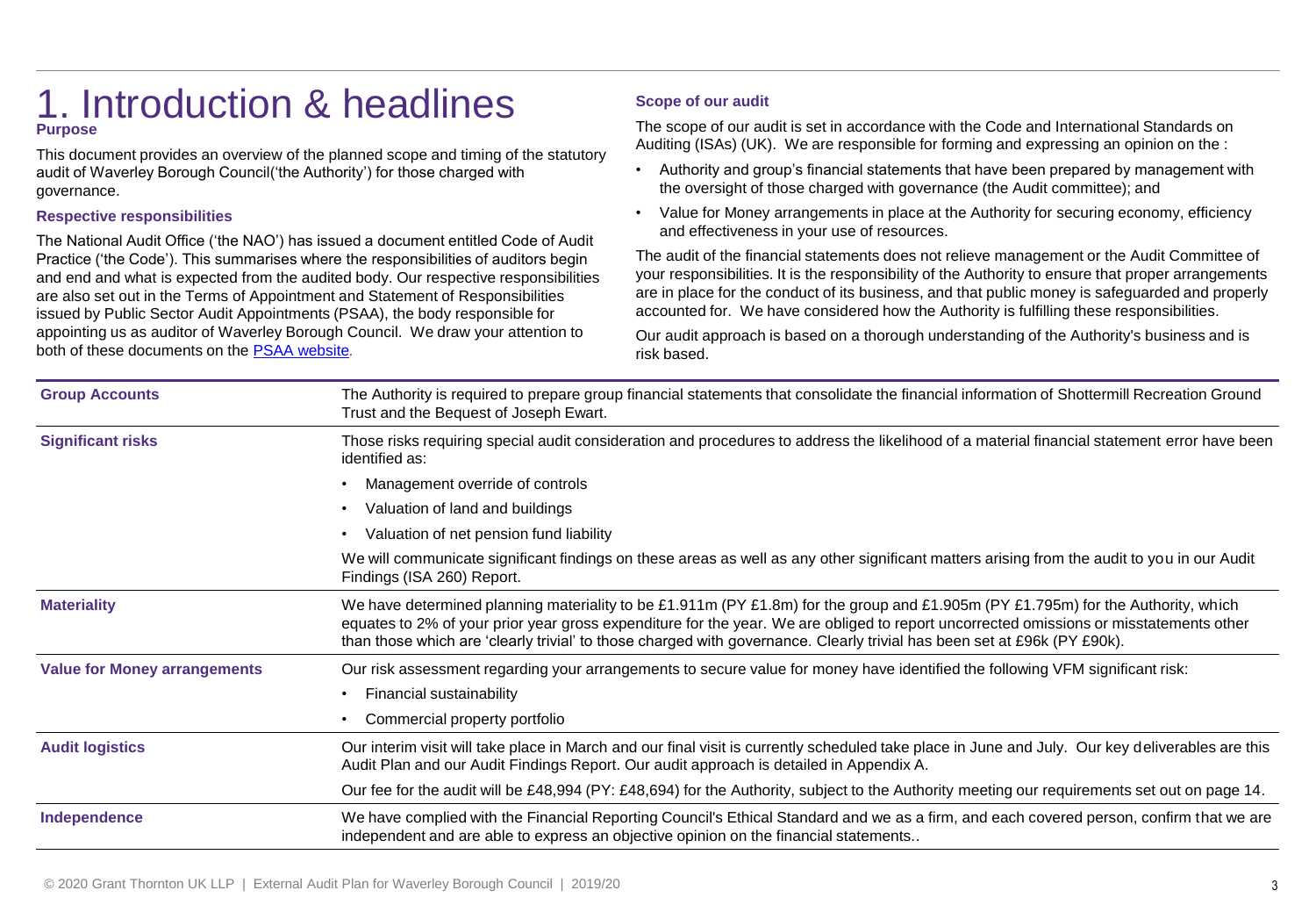### 1. Introduction & headlines **Purpose**

This document provides an overview of the planned scope and timing of the statutory audit of Waverley Borough Council('the Authority') for those charged with governance.

### **Respective responsibilities**

The National Audit Office ('the NAO') has issued a document entitled Code of Audit Practice ('the Code'). This summarises where the responsibilities of auditors begin and end and what is expected from the audited body. Our respective responsibilities are also set out in the Terms of Appointment and Statement of Responsibilities issued by Public Sector Audit Appointments (PSAA), the body responsible for appointing us as auditor of Waverley Borough Council. We draw your attention to both of these documents on the [PSAA website](https://www.psaa.co.uk/)*.*

### **Scope of our audit**

The scope of our audit is set in accordance with the Code and International Standards on Auditing (ISAs) (UK). We are responsible for forming and expressing an opinion on the :

- Authority and group's financial statements that have been prepared by management with the oversight of those charged with governance (the Audit committee); and
- Value for Money arrangements in place at the Authority for securing economy, efficiency and effectiveness in your use of resources.

The audit of the financial statements does not relieve management or the Audit Committee of your responsibilities. It is the responsibility of the Authority to ensure that proper arrangements are in place for the conduct of its business, and that public money is safeguarded and properly accounted for. We have considered how the Authority is fulfilling these responsibilities.

Our audit approach is based on a thorough understanding of the Authority's business and is risk based.

| <b>Group Accounts</b>                                                                                                                                                                                                                           | The Authority is required to prepare group financial statements that consolidate the financial information of Shottermill Recreation Ground<br>Trust and the Bequest of Joseph Ewart.                                                                                                                                                                                                                  |
|-------------------------------------------------------------------------------------------------------------------------------------------------------------------------------------------------------------------------------------------------|--------------------------------------------------------------------------------------------------------------------------------------------------------------------------------------------------------------------------------------------------------------------------------------------------------------------------------------------------------------------------------------------------------|
| <b>Significant risks</b>                                                                                                                                                                                                                        | Those risks requiring special audit consideration and procedures to address the likelihood of a material financial statement error have been<br>identified as:                                                                                                                                                                                                                                         |
|                                                                                                                                                                                                                                                 | Management override of controls                                                                                                                                                                                                                                                                                                                                                                        |
|                                                                                                                                                                                                                                                 | Valuation of land and buildings                                                                                                                                                                                                                                                                                                                                                                        |
|                                                                                                                                                                                                                                                 | Valuation of net pension fund liability                                                                                                                                                                                                                                                                                                                                                                |
|                                                                                                                                                                                                                                                 | We will communicate significant findings on these areas as well as any other significant matters arising from the audit to you in our Audit<br>Findings (ISA 260) Report.                                                                                                                                                                                                                              |
| <b>Materiality</b>                                                                                                                                                                                                                              | We have determined planning materiality to be £1.911m (PY £1.8m) for the group and £1.905m (PY £1.795m) for the Authority, which<br>equates to 2% of your prior year gross expenditure for the year. We are obliged to report uncorrected omissions or misstatements other<br>than those which are 'clearly trivial' to those charged with governance. Clearly trivial has been set at £96k (PY £90k). |
| <b>Value for Money arrangements</b>                                                                                                                                                                                                             | Our risk assessment regarding your arrangements to secure value for money have identified the following VFM significant risk:                                                                                                                                                                                                                                                                          |
|                                                                                                                                                                                                                                                 | Financial sustainability<br>$\bullet$                                                                                                                                                                                                                                                                                                                                                                  |
|                                                                                                                                                                                                                                                 | Commercial property portfolio                                                                                                                                                                                                                                                                                                                                                                          |
| <b>Audit logistics</b>                                                                                                                                                                                                                          | Our interim visit will take place in March and our final visit is currently scheduled take place in June and July. Our key deliverables are this<br>Audit Plan and our Audit Findings Report. Our audit approach is detailed in Appendix A.                                                                                                                                                            |
|                                                                                                                                                                                                                                                 | Our fee for the audit will be £48,994 (PY: £48,694) for the Authority, subject to the Authority meeting our requirements set out on page 14.                                                                                                                                                                                                                                                           |
| We have complied with the Financial Reporting Council's Ethical Standard and we as a firm, and each covered person, confirm that we are<br>Independence<br>independent and are able to express an objective opinion on the financial statements |                                                                                                                                                                                                                                                                                                                                                                                                        |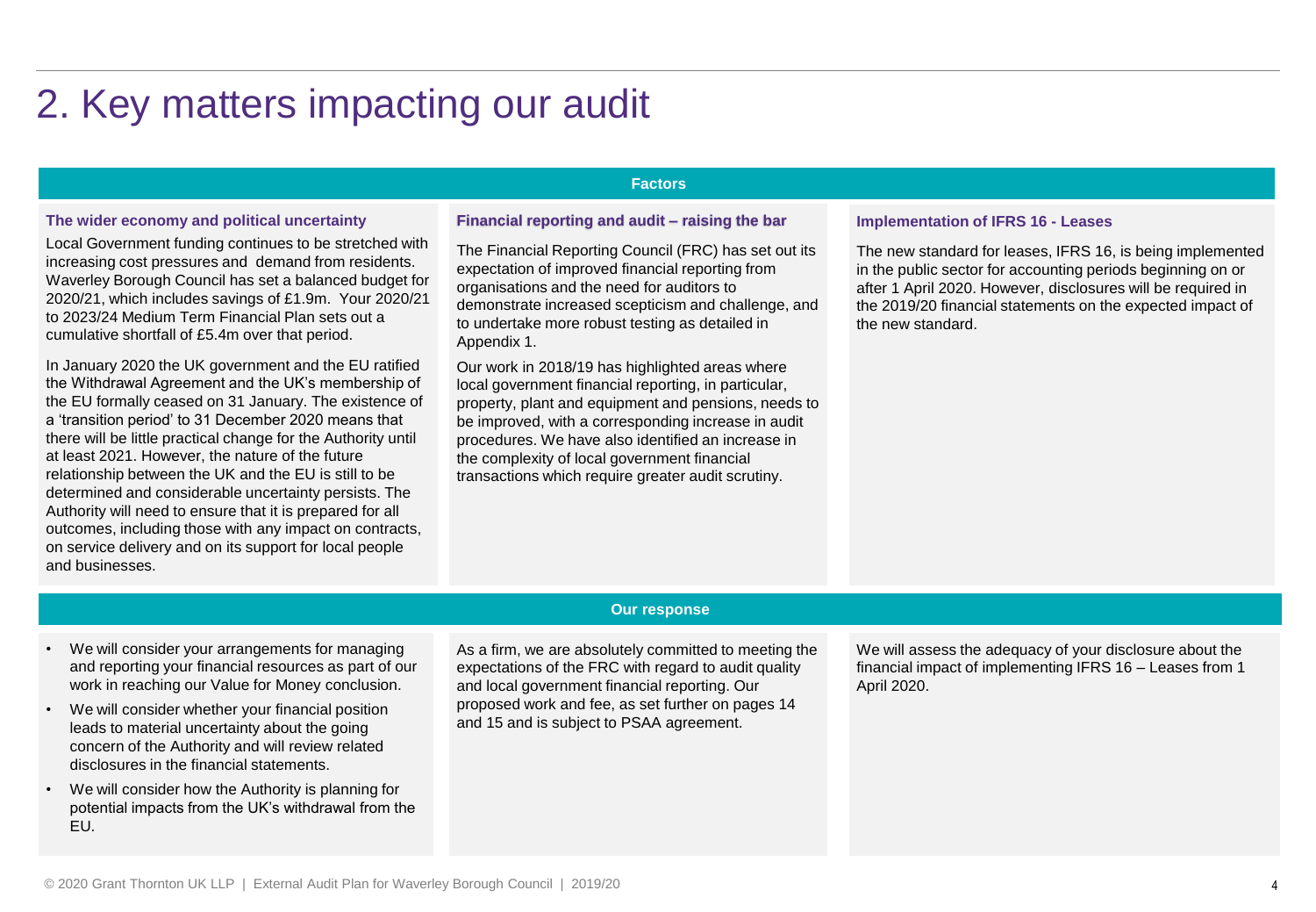## 2. Key matters impacting our audit

### **Factors**

### **The wider economy and political uncertainty**

Local Government funding continues to be stretched with increasing cost pressures and demand from residents. Waverley Borough Council has set a balanced budget for 2020/21, which includes savings of £1.9m. Your 2020/21 to 2023/24 Medium Term Financial Plan sets out a cumulative shortfall of £5.4m over that period.

. the EU formally ceased on 31 January. The existence of In January 2020 the UK government and the EU ratified the Withdrawal Agreement and the UK's membership of a 'transition period' to 31 December 2020 means that there will be little practical change for the Authority until at least 2021. However, the nature of the future relationship between the UK and the EU is still to be determined and considerable uncertainty persists. The Authority will need to ensure that it is prepared for all outcomes, including those with any impact on contracts, on service delivery and on its support for local people and businesses.

### **Financial reporting and audit – raising the bar**

The Financial Reporting Council (FRC) has set out its expectation of improved financial reporting from organisations and the need for auditors to demonstrate increased scepticism and challenge, and to undertake more robust testing as detailed in Appendix 1.

Our work in 2018/19 has highlighted areas where local government financial reporting, in particular, property, plant and equipment and pensions, needs to be improved, with a corresponding increase in audit procedures. We have also identified an increase in the complexity of local government financial transactions which require greater audit scrutiny.

#### **Implementation of IFRS 16 - Leases**

The new standard for leases, IFRS 16, is being implemented in the public sector for accounting periods beginning on or after 1 April 2020. However, disclosures will be required in the 2019/20 financial statements on the expected impact of the new standard.

### **Our response**

- We will consider your arrangements for managing and reporting your financial resources as part of our work in reaching our Value for Money conclusion.
- We will consider whether your financial position leads to material uncertainty about the going concern of the Authority and will review related disclosures in the financial statements.
- We will consider how the Authority is planning for potential impacts from the UK's withdrawal from the EU.

As a firm, we are absolutely committed to meeting the expectations of the FRC with regard to audit quality and local government financial reporting. Our proposed work and fee, as set further on pages 14 and 15 and is subject to PSAA agreement.

We will assess the adequacy of your disclosure about the financial impact of implementing IFRS 16 – Leases from 1 April 2020.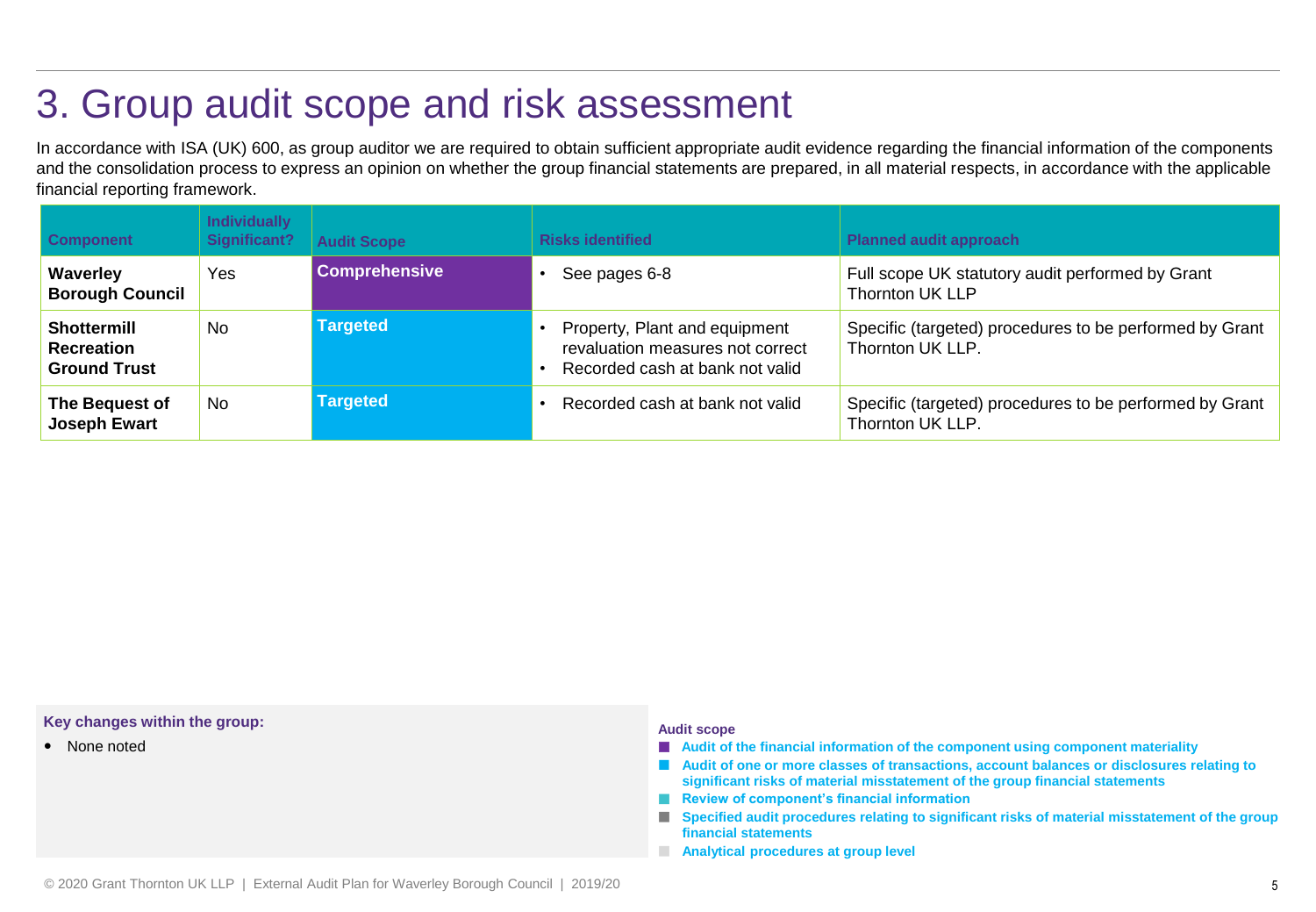### 3. Group audit scope and risk assessment

In accordance with ISA (UK) 600, as group auditor we are required to obtain sufficient appropriate audit evidence regarding the financial information of the components and the consolidation process to express an opinion on whether the group financial statements are prepared, in all material respects, in accordance with the applicable financial reporting framework.

| <b>Component</b>                                               | <b>Individually</b><br>Significant? | <b>Audit Scope</b>   | <b>Risks identified</b>                                                                              | <b>Planned audit approach</b>                                               |
|----------------------------------------------------------------|-------------------------------------|----------------------|------------------------------------------------------------------------------------------------------|-----------------------------------------------------------------------------|
| Waverley<br><b>Borough Council</b>                             | Yes                                 | <b>Comprehensive</b> | See pages 6-8                                                                                        | Full scope UK statutory audit performed by Grant<br><b>Thornton UK LLP</b>  |
| <b>Shottermill</b><br><b>Recreation</b><br><b>Ground Trust</b> | No                                  | <b>Targeted</b>      | Property, Plant and equipment<br>revaluation measures not correct<br>Recorded cash at bank not valid | Specific (targeted) procedures to be performed by Grant<br>Thornton UK LLP. |
| The Bequest of<br><b>Joseph Ewart</b>                          | <b>No</b>                           | <b>Targeted</b>      | Recorded cash at bank not valid                                                                      | Specific (targeted) procedures to be performed by Grant<br>Thornton UK LLP. |

#### **Key changes within the group:**

• None noted

#### **Audit scope**

- **Audit of the financial information of the component using component materiality**
- **Audit of one or more classes of transactions, account balances or disclosures relating to significant risks of material misstatement of the group financial statements**
- **Review of component's financial information**
- **Specified audit procedures relating to significant risks of material misstatement of the group financial statements**
- **Analytical procedures at group level**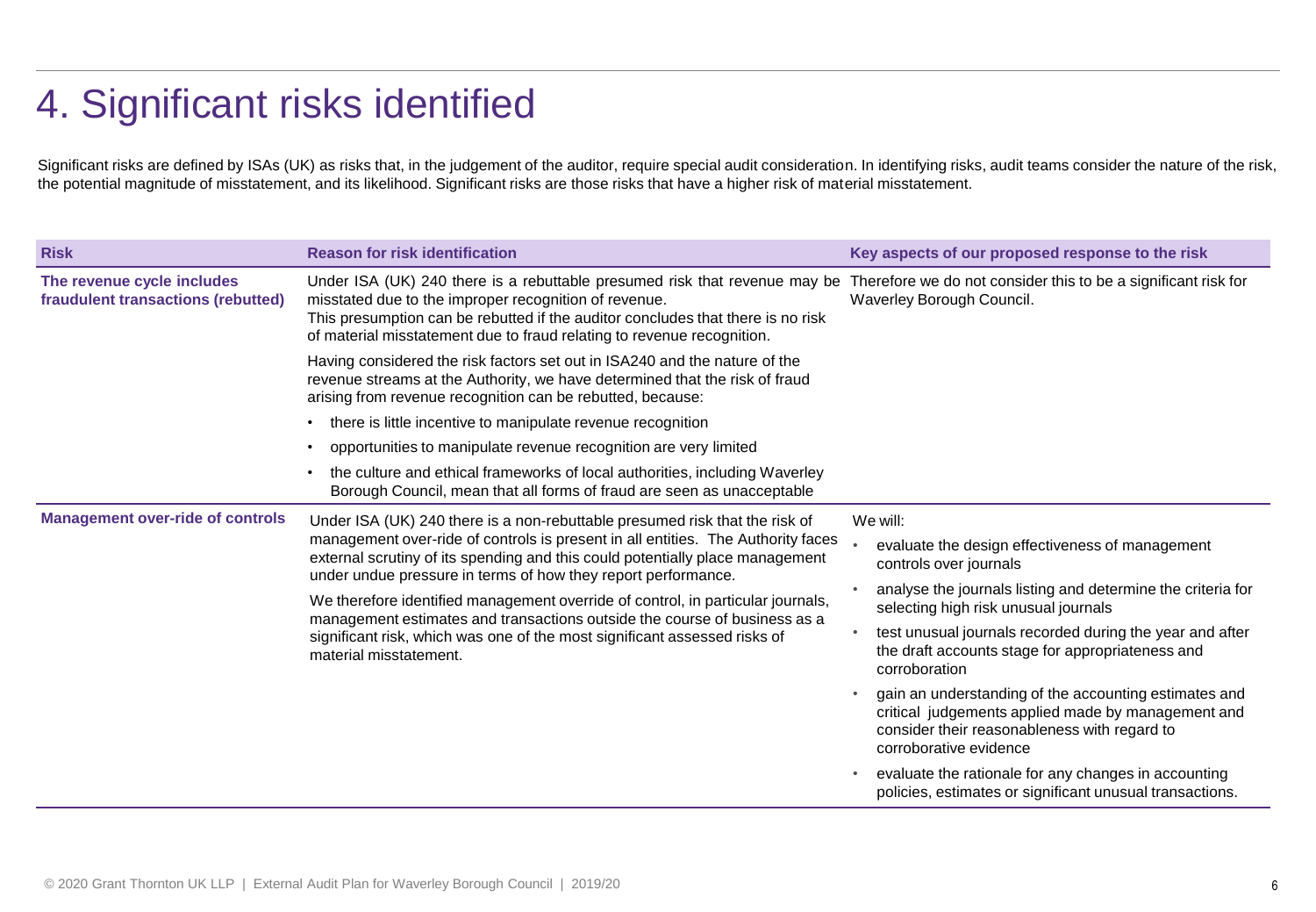## 4. Significant risks identified

Significant risks are defined by ISAs (UK) as risks that, in the judgement of the auditor, require special audit consideration. In identifying risks, audit teams consider the nature of the risk, the potential magnitude of misstatement, and its likelihood. Significant risks are those risks that have a higher risk of material misstatement.

| <b>Risk</b>                                                                                                                                                                                                                                                                                                                                                          | <b>Reason for risk identification</b>                                                                                                                                                                                                                                                                                                                                                                                                                                                                                                                                                    | Key aspects of our proposed response to the risk                                                                                                                                                                                                                                                                                                                                                                                                                                                                                                                                                                                           |
|----------------------------------------------------------------------------------------------------------------------------------------------------------------------------------------------------------------------------------------------------------------------------------------------------------------------------------------------------------------------|------------------------------------------------------------------------------------------------------------------------------------------------------------------------------------------------------------------------------------------------------------------------------------------------------------------------------------------------------------------------------------------------------------------------------------------------------------------------------------------------------------------------------------------------------------------------------------------|--------------------------------------------------------------------------------------------------------------------------------------------------------------------------------------------------------------------------------------------------------------------------------------------------------------------------------------------------------------------------------------------------------------------------------------------------------------------------------------------------------------------------------------------------------------------------------------------------------------------------------------------|
| The revenue cycle includes<br>Under ISA (UK) 240 there is a rebuttable presumed risk that revenue may be<br>fraudulent transactions (rebutted)<br>misstated due to the improper recognition of revenue.<br>This presumption can be rebutted if the auditor concludes that there is no risk<br>of material misstatement due to fraud relating to revenue recognition. |                                                                                                                                                                                                                                                                                                                                                                                                                                                                                                                                                                                          | Therefore we do not consider this to be a significant risk for<br>Waverley Borough Council.                                                                                                                                                                                                                                                                                                                                                                                                                                                                                                                                                |
|                                                                                                                                                                                                                                                                                                                                                                      | Having considered the risk factors set out in ISA240 and the nature of the<br>revenue streams at the Authority, we have determined that the risk of fraud<br>arising from revenue recognition can be rebutted, because:                                                                                                                                                                                                                                                                                                                                                                  |                                                                                                                                                                                                                                                                                                                                                                                                                                                                                                                                                                                                                                            |
|                                                                                                                                                                                                                                                                                                                                                                      | there is little incentive to manipulate revenue recognition                                                                                                                                                                                                                                                                                                                                                                                                                                                                                                                              |                                                                                                                                                                                                                                                                                                                                                                                                                                                                                                                                                                                                                                            |
|                                                                                                                                                                                                                                                                                                                                                                      | opportunities to manipulate revenue recognition are very limited                                                                                                                                                                                                                                                                                                                                                                                                                                                                                                                         |                                                                                                                                                                                                                                                                                                                                                                                                                                                                                                                                                                                                                                            |
|                                                                                                                                                                                                                                                                                                                                                                      | the culture and ethical frameworks of local authorities, including Waverley<br>Borough Council, mean that all forms of fraud are seen as unacceptable                                                                                                                                                                                                                                                                                                                                                                                                                                    |                                                                                                                                                                                                                                                                                                                                                                                                                                                                                                                                                                                                                                            |
| <b>Management over-ride of controls</b>                                                                                                                                                                                                                                                                                                                              | Under ISA (UK) 240 there is a non-rebuttable presumed risk that the risk of<br>management over-ride of controls is present in all entities. The Authority faces<br>external scrutiny of its spending and this could potentially place management<br>under undue pressure in terms of how they report performance.<br>We therefore identified management override of control, in particular journals,<br>management estimates and transactions outside the course of business as a<br>significant risk, which was one of the most significant assessed risks of<br>material misstatement. | We will:<br>evaluate the design effectiveness of management<br>controls over journals<br>analyse the journals listing and determine the criteria for<br>selecting high risk unusual journals<br>test unusual journals recorded during the year and after<br>the draft accounts stage for appropriateness and<br>corroboration<br>gain an understanding of the accounting estimates and<br>critical judgements applied made by management and<br>consider their reasonableness with regard to<br>corroborative evidence<br>evaluate the rationale for any changes in accounting<br>policies, estimates or significant unusual transactions. |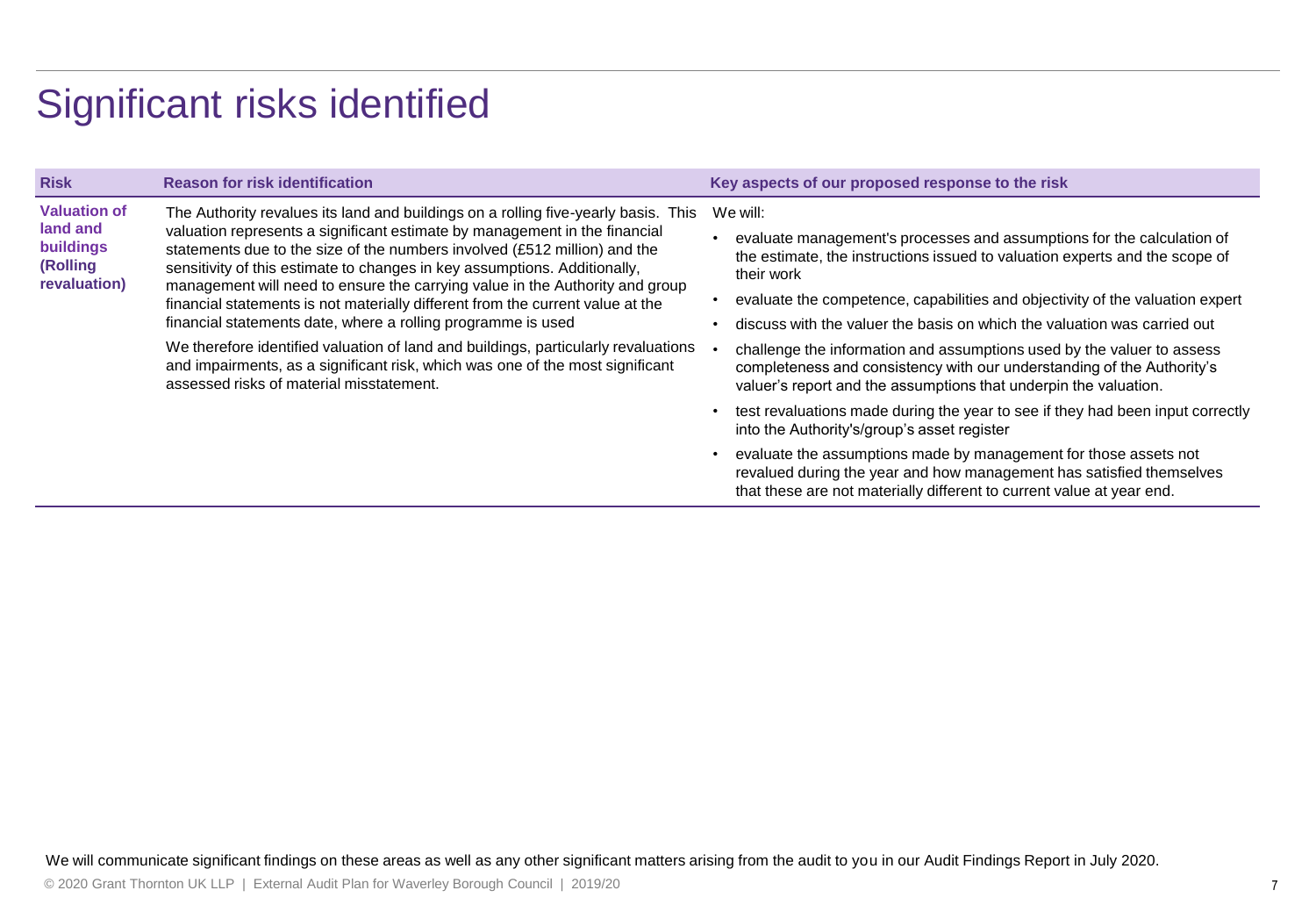### Significant risks identified

| <b>Risk</b>                                                                     | <b>Reason for risk identification</b>                                                                                                                                                                                                                                                                                                                                                                                                                                                                                                                                                                                                                                                                                                                                           | Key aspects of our proposed response to the risk                                                                                                                                                                                                                                                                                                                                                                                                                                                                                                                                                                                                                                                                                                                          |
|---------------------------------------------------------------------------------|---------------------------------------------------------------------------------------------------------------------------------------------------------------------------------------------------------------------------------------------------------------------------------------------------------------------------------------------------------------------------------------------------------------------------------------------------------------------------------------------------------------------------------------------------------------------------------------------------------------------------------------------------------------------------------------------------------------------------------------------------------------------------------|---------------------------------------------------------------------------------------------------------------------------------------------------------------------------------------------------------------------------------------------------------------------------------------------------------------------------------------------------------------------------------------------------------------------------------------------------------------------------------------------------------------------------------------------------------------------------------------------------------------------------------------------------------------------------------------------------------------------------------------------------------------------------|
| <b>Valuation of</b><br>land and<br><b>buildings</b><br>(Rolling<br>revaluation) | The Authority revalues its land and buildings on a rolling five-yearly basis. This<br>valuation represents a significant estimate by management in the financial<br>statements due to the size of the numbers involved (£512 million) and the<br>sensitivity of this estimate to changes in key assumptions. Additionally,<br>management will need to ensure the carrying value in the Authority and group<br>financial statements is not materially different from the current value at the<br>financial statements date, where a rolling programme is used<br>We therefore identified valuation of land and buildings, particularly revaluations<br>and impairments, as a significant risk, which was one of the most significant<br>assessed risks of material misstatement. | We will:<br>evaluate management's processes and assumptions for the calculation of<br>the estimate, the instructions issued to valuation experts and the scope of<br>their work<br>evaluate the competence, capabilities and objectivity of the valuation expert<br>discuss with the valuer the basis on which the valuation was carried out<br>challenge the information and assumptions used by the valuer to assess<br>completeness and consistency with our understanding of the Authority's<br>valuer's report and the assumptions that underpin the valuation.<br>test revaluations made during the year to see if they had been input correctly<br>into the Authority's/group's asset register<br>evaluate the assumptions made by management for those assets not |
|                                                                                 |                                                                                                                                                                                                                                                                                                                                                                                                                                                                                                                                                                                                                                                                                                                                                                                 | revalued during the year and how management has satisfied themselves<br>that these are not materially different to current value at year end.                                                                                                                                                                                                                                                                                                                                                                                                                                                                                                                                                                                                                             |

We will communicate significant findings on these areas as well as any other significant matters arising from the audit to you in our Audit Findings Report in July 2020.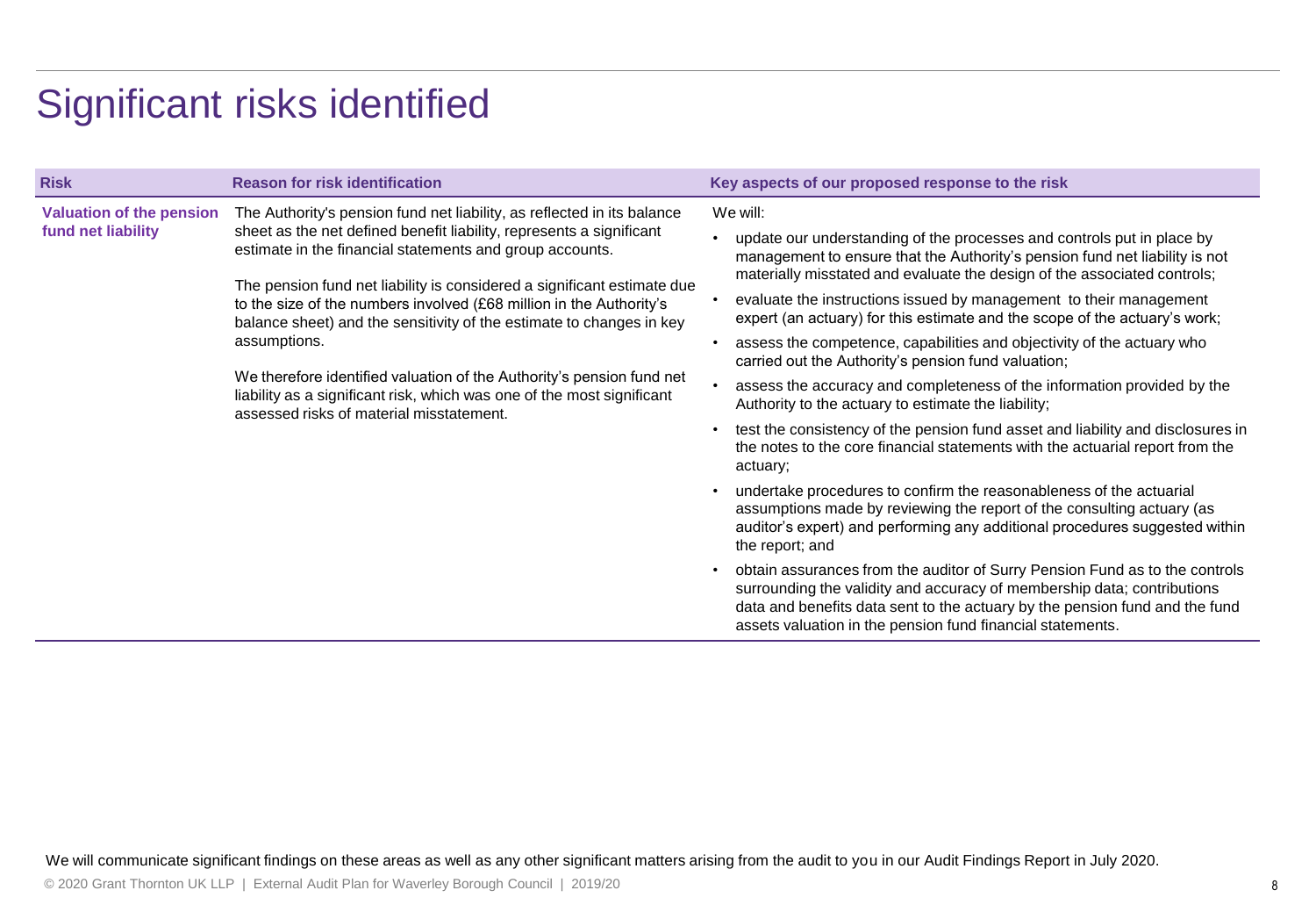### Significant risks identified

| <b>Risk</b>                                           | <b>Reason for risk identification</b>                                                                                                                                                                                                                                                                                                                                                                                                                                                                                                                                                                                                                | Key aspects of our proposed response to the risk                                                                                                                                                                                                                                                                                                                                                                                                                                                                                                                                                                                                                                                                                                                                                                                                                                                                                                                                                                                                                                     |
|-------------------------------------------------------|------------------------------------------------------------------------------------------------------------------------------------------------------------------------------------------------------------------------------------------------------------------------------------------------------------------------------------------------------------------------------------------------------------------------------------------------------------------------------------------------------------------------------------------------------------------------------------------------------------------------------------------------------|--------------------------------------------------------------------------------------------------------------------------------------------------------------------------------------------------------------------------------------------------------------------------------------------------------------------------------------------------------------------------------------------------------------------------------------------------------------------------------------------------------------------------------------------------------------------------------------------------------------------------------------------------------------------------------------------------------------------------------------------------------------------------------------------------------------------------------------------------------------------------------------------------------------------------------------------------------------------------------------------------------------------------------------------------------------------------------------|
| <b>Valuation of the pension</b><br>fund net liability | The Authority's pension fund net liability, as reflected in its balance<br>sheet as the net defined benefit liability, represents a significant<br>estimate in the financial statements and group accounts.<br>The pension fund net liability is considered a significant estimate due<br>to the size of the numbers involved (£68 million in the Authority's<br>balance sheet) and the sensitivity of the estimate to changes in key<br>assumptions.<br>We therefore identified valuation of the Authority's pension fund net<br>liability as a significant risk, which was one of the most significant<br>assessed risks of material misstatement. | We will:<br>update our understanding of the processes and controls put in place by<br>management to ensure that the Authority's pension fund net liability is not<br>materially misstated and evaluate the design of the associated controls;<br>evaluate the instructions issued by management to their management<br>expert (an actuary) for this estimate and the scope of the actuary's work;<br>assess the competence, capabilities and objectivity of the actuary who<br>carried out the Authority's pension fund valuation;<br>assess the accuracy and completeness of the information provided by the<br>Authority to the actuary to estimate the liability;<br>test the consistency of the pension fund asset and liability and disclosures in<br>the notes to the core financial statements with the actuarial report from the<br>actuary;<br>undertake procedures to confirm the reasonableness of the actuarial<br>assumptions made by reviewing the report of the consulting actuary (as<br>auditor's expert) and performing any additional procedures suggested within |
|                                                       |                                                                                                                                                                                                                                                                                                                                                                                                                                                                                                                                                                                                                                                      | the report; and<br>obtain assurances from the auditor of Surry Pension Fund as to the controls                                                                                                                                                                                                                                                                                                                                                                                                                                                                                                                                                                                                                                                                                                                                                                                                                                                                                                                                                                                       |
|                                                       |                                                                                                                                                                                                                                                                                                                                                                                                                                                                                                                                                                                                                                                      | surrounding the validity and accuracy of membership data; contributions<br>data and benefits data sent to the actuary by the pension fund and the fund<br>assets valuation in the pension fund financial statements.                                                                                                                                                                                                                                                                                                                                                                                                                                                                                                                                                                                                                                                                                                                                                                                                                                                                 |

We will communicate significant findings on these areas as well as any other significant matters arising from the audit to you in our Audit Findings Report in July 2020.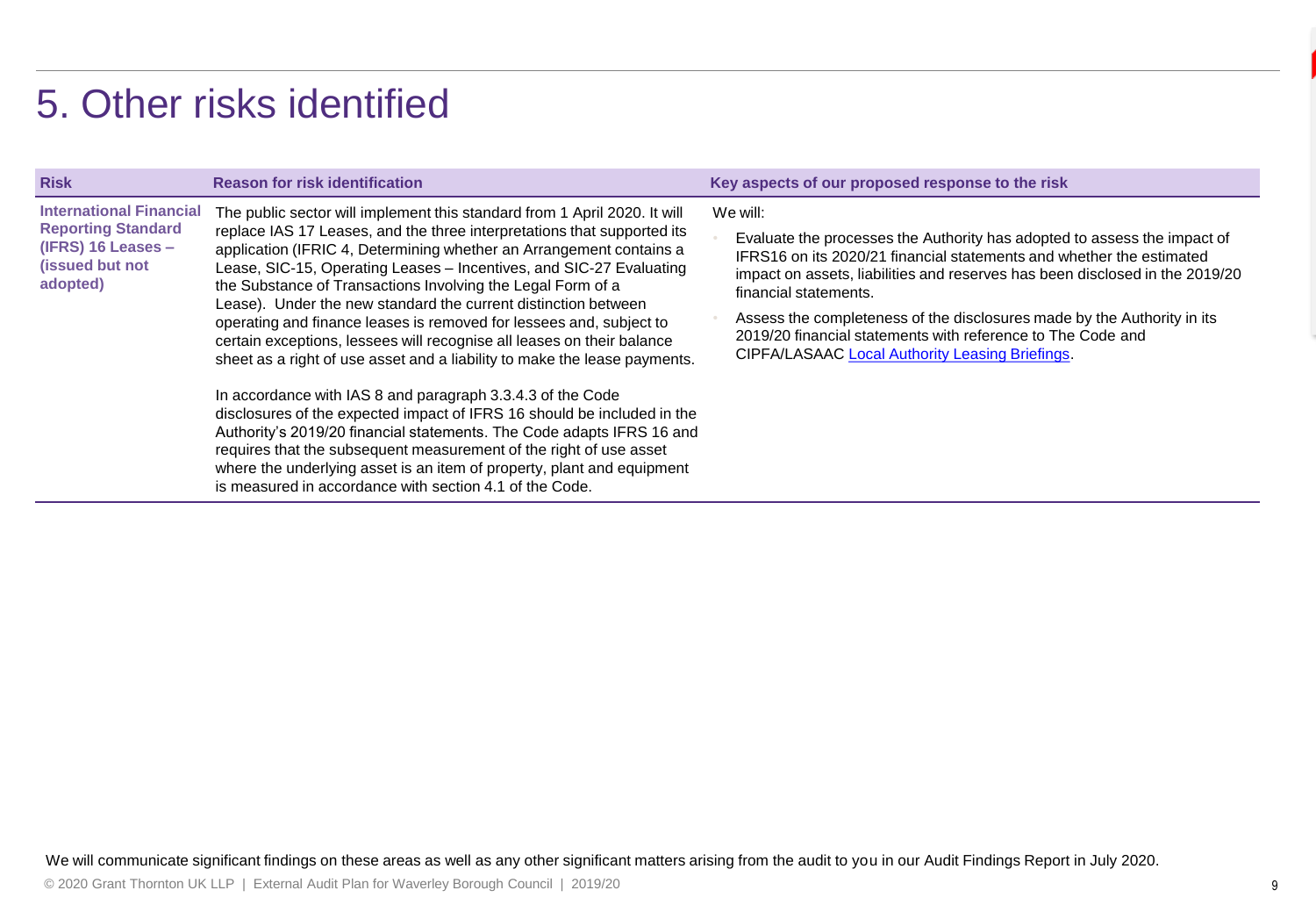### 5. Other risks identified

| <b>Risk</b>                                                                                                        | <b>Reason for risk identification</b>                                                                                                                                                                                                                                                                                                                                                                                                                                                                                                                                                                                                                                                                                                                                                                                                                                                                                                                                                                                                                                                          | Key aspects of our proposed response to the risk                                                                                                                                                                                                                                                                                                                                                                                                                   |
|--------------------------------------------------------------------------------------------------------------------|------------------------------------------------------------------------------------------------------------------------------------------------------------------------------------------------------------------------------------------------------------------------------------------------------------------------------------------------------------------------------------------------------------------------------------------------------------------------------------------------------------------------------------------------------------------------------------------------------------------------------------------------------------------------------------------------------------------------------------------------------------------------------------------------------------------------------------------------------------------------------------------------------------------------------------------------------------------------------------------------------------------------------------------------------------------------------------------------|--------------------------------------------------------------------------------------------------------------------------------------------------------------------------------------------------------------------------------------------------------------------------------------------------------------------------------------------------------------------------------------------------------------------------------------------------------------------|
| <b>International Financial</b><br><b>Reporting Standard</b><br>$(IFRS)$ 16 Leases –<br>(issued but not<br>adopted) | The public sector will implement this standard from 1 April 2020. It will<br>replace IAS 17 Leases, and the three interpretations that supported its<br>application (IFRIC 4, Determining whether an Arrangement contains a<br>Lease, SIC-15, Operating Leases - Incentives, and SIC-27 Evaluating<br>the Substance of Transactions Involving the Legal Form of a<br>Lease). Under the new standard the current distinction between<br>operating and finance leases is removed for lessees and, subject to<br>certain exceptions, lessees will recognise all leases on their balance<br>sheet as a right of use asset and a liability to make the lease payments.<br>In accordance with IAS 8 and paragraph 3.3.4.3 of the Code<br>disclosures of the expected impact of IFRS 16 should be included in the<br>Authority's 2019/20 financial statements. The Code adapts IFRS 16 and<br>requires that the subsequent measurement of the right of use asset<br>where the underlying asset is an item of property, plant and equipment<br>is measured in accordance with section 4.1 of the Code. | We will:<br>Evaluate the processes the Authority has adopted to assess the impact of<br>IFRS16 on its 2020/21 financial statements and whether the estimated<br>impact on assets, liabilities and reserves has been disclosed in the 2019/20<br>financial statements.<br>Assess the completeness of the disclosures made by the Authority in its<br>2019/20 financial statements with reference to The Code and<br>CIPFA/LASAAC Local Authority Leasing Briefings. |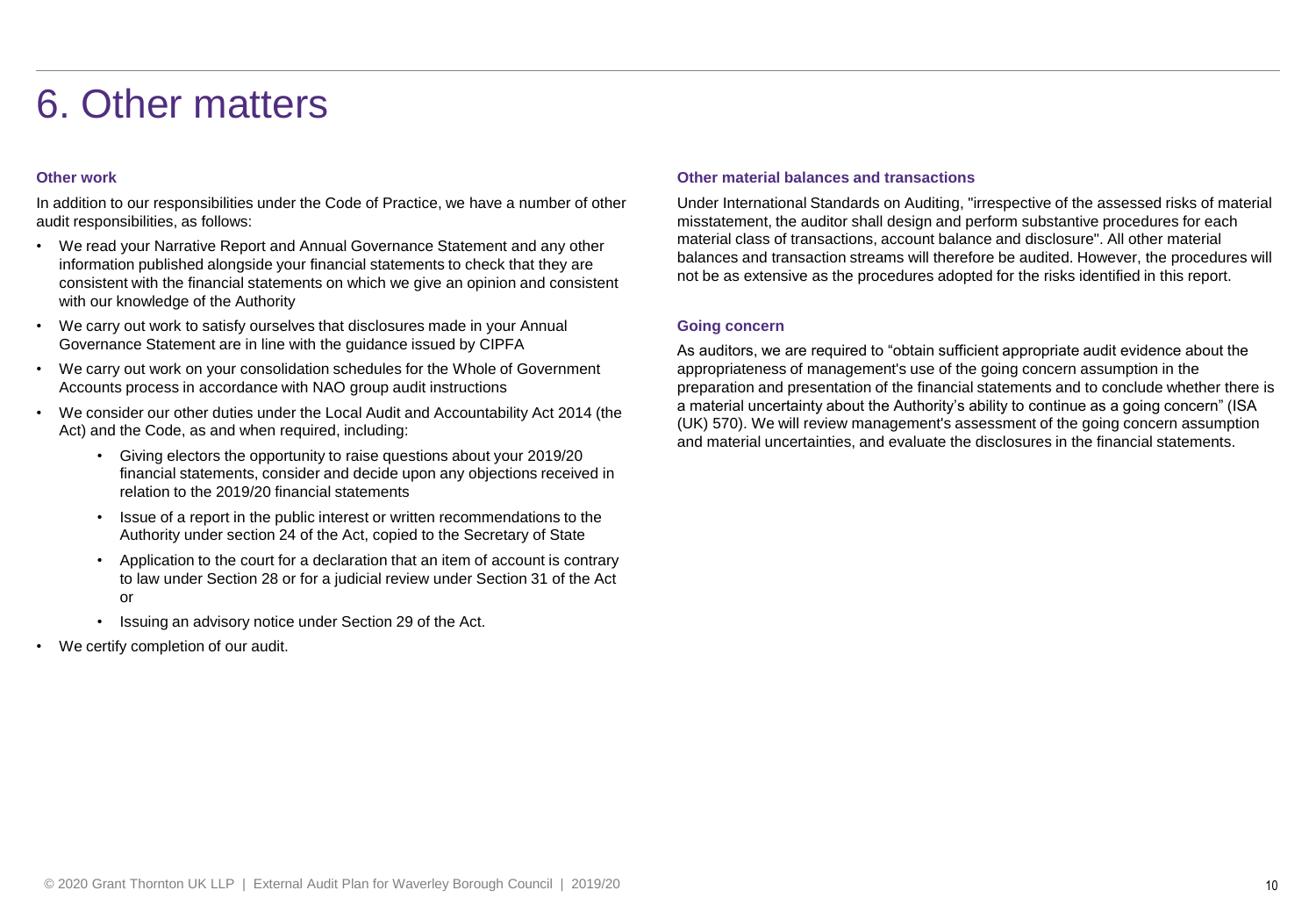### 6. Other matters

### **Other work**

In addition to our responsibilities under the Code of Practice, we have a number of other audit responsibilities, as follows:

- We read your Narrative Report and Annual Governance Statement and any other information published alongside your financial statements to check that they are consistent with the financial statements on which we give an opinion and consistent with our knowledge of the Authority
- We carry out work to satisfy ourselves that disclosures made in your Annual Governance Statement are in line with the guidance issued by CIPFA
- We carry out work on your consolidation schedules for the Whole of Government Accounts process in accordance with NAO group audit instructions
- We consider our other duties under the Local Audit and Accountability Act 2014 (the Act) and the Code, as and when required, including:
	- Giving electors the opportunity to raise questions about your 2019/20 financial statements, consider and decide upon any objections received in relation to the 2019/20 financial statements
	- Issue of a report in the public interest or written recommendations to the Authority under section 24 of the Act, copied to the Secretary of State
	- Application to the court for a declaration that an item of account is contrary to law under Section 28 or for a judicial review under Section 31 of the Act or
	- Issuing an advisory notice under Section 29 of the Act.
- We certify completion of our audit.

### **Other material balances and transactions**

Under International Standards on Auditing, "irrespective of the assessed risks of material misstatement, the auditor shall design and perform substantive procedures for each material class of transactions, account balance and disclosure". All other material balances and transaction streams will therefore be audited. However, the procedures will not be as extensive as the procedures adopted for the risks identified in this report.

#### **Going concern**

As auditors, we are required to "obtain sufficient appropriate audit evidence about the appropriateness of management's use of the going concern assumption in the preparation and presentation of the financial statements and to conclude whether there is a material uncertainty about the Authority's ability to continue as a going concern" (ISA (UK) 570). We will review management's assessment of the going concern assumption and material uncertainties, and evaluate the disclosures in the financial statements.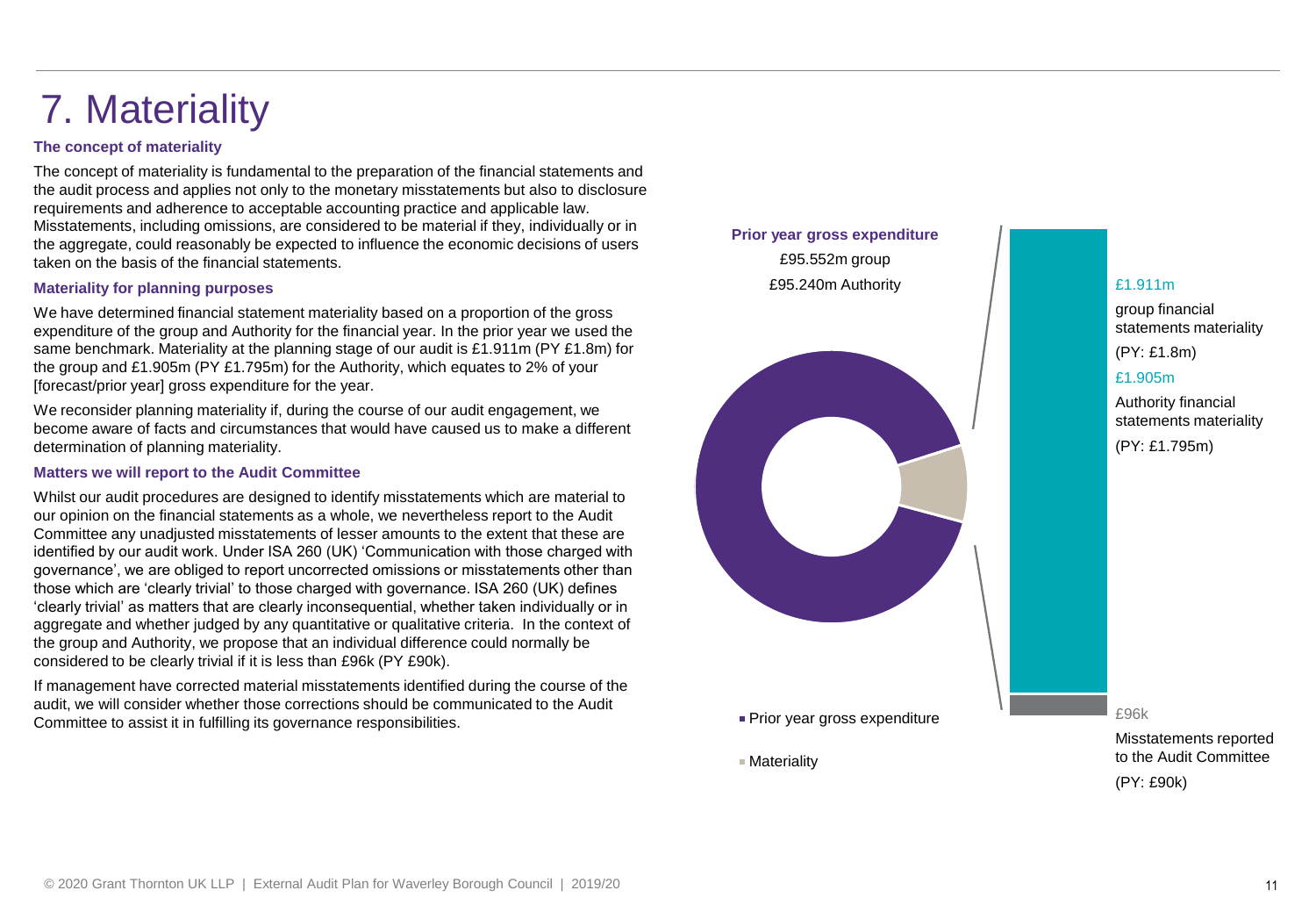## 7. Materiality

### **The concept of materiality**

The concept of materiality is fundamental to the preparation of the financial statements and the audit process and applies not only to the monetary misstatements but also to disclosure requirements and adherence to acceptable accounting practice and applicable law. Misstatements, including omissions, are considered to be material if they, individually or in the aggregate, could reasonably be expected to influence the economic decisions of users taken on the basis of the financial statements.

### **Materiality for planning purposes**

We have determined financial statement materiality based on a proportion of the gross expenditure of the group and Authority for the financial year. In the prior year we used the same benchmark. Materiality at the planning stage of our audit is £1.911m (PY £1.8m) for the group and £1.905m (PY £1.795m) for the Authority, which equates to 2% of your [forecast/prior year] gross expenditure for the year.

We reconsider planning materiality if, during the course of our audit engagement, we become aware of facts and circumstances that would have caused us to make a different determination of planning materiality.

#### **Matters we will report to the Audit Committee**

Whilst our audit procedures are designed to identify misstatements which are material to our opinion on the financial statements as a whole, we nevertheless report to the Audit Committee any unadjusted misstatements of lesser amounts to the extent that these are identified by our audit work. Under ISA 260 (UK) 'Communication with those charged with governance', we are obliged to report uncorrected omissions or misstatements other than those which are 'clearly trivial' to those charged with governance. ISA 260 (UK) defines 'clearly trivial' as matters that are clearly inconsequential, whether taken individually or in aggregate and whether judged by any quantitative or qualitative criteria. In the context of the group and Authority, we propose that an individual difference could normally be considered to be clearly trivial if it is less than £96k (PY £90k).

If management have corrected material misstatements identified during the course of the audit, we will consider whether those corrections should be communicated to the Audit Committee to assist it in fulfilling its governance responsibilities.



£1.911m

group financial statements materiality

(PY: £1.8m)

### £1.905m

Authority financial statements materiality (PY: £1.795m)

£96k

Misstatements reported to the Audit Committee

(PY: £90k)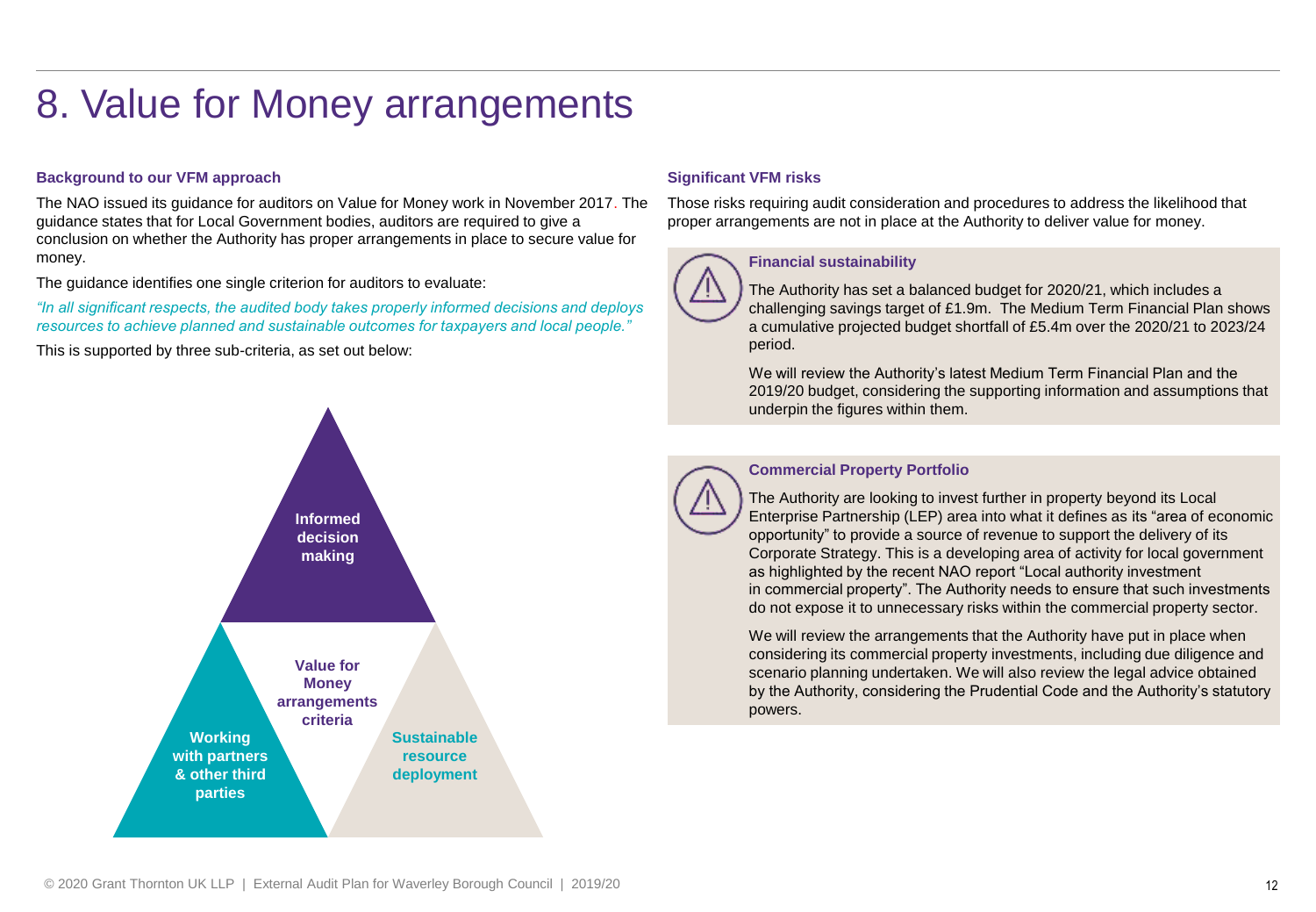### 8. Value for Money arrangements

### **Background to our VFM approach**

The NAO issued its guidance for auditors on Value for Money work in November 2017. The guidance states that for Local Government bodies, auditors are required to give a conclusion on whether the Authority has proper arrangements in place to secure value for money.

The guidance identifies one single criterion for auditors to evaluate:

*"In all significant respects, the audited body takes properly informed decisions and deploys resources to achieve planned and sustainable outcomes for taxpayers and local people."* 

This is supported by three sub-criteria, as set out below:



### **Significant VFM risks**

Those risks requiring audit consideration and procedures to address the likelihood that proper arrangements are not in place at the Authority to deliver value for money.



### **Financial sustainability**

The Authority has set a balanced budget for 2020/21, which includes a challenging savings target of £1.9m. The Medium Term Financial Plan shows a cumulative projected budget shortfall of £5.4m over the 2020/21 to 2023/24 period.

We will review the Authority's latest Medium Term Financial Plan and the 2019/20 budget, considering the supporting information and assumptions that underpin the figures within them.



### **Commercial Property Portfolio**

The Authority are looking to invest further in property beyond its Local Enterprise Partnership (LEP) area into what it defines as its "area of economic opportunity" to provide a source of revenue to support the delivery of its Corporate Strategy. This is a developing area of activity for local government as highlighted by the recent NAO report "Local authority investment in commercial property". The Authority needs to ensure that such investments do not expose it to unnecessary risks within the commercial property sector.

We will review the arrangements that the Authority have put in place when considering its commercial property investments, including due diligence and scenario planning undertaken. We will also review the legal advice obtained by the Authority, considering the Prudential Code and the Authority's statutory powers.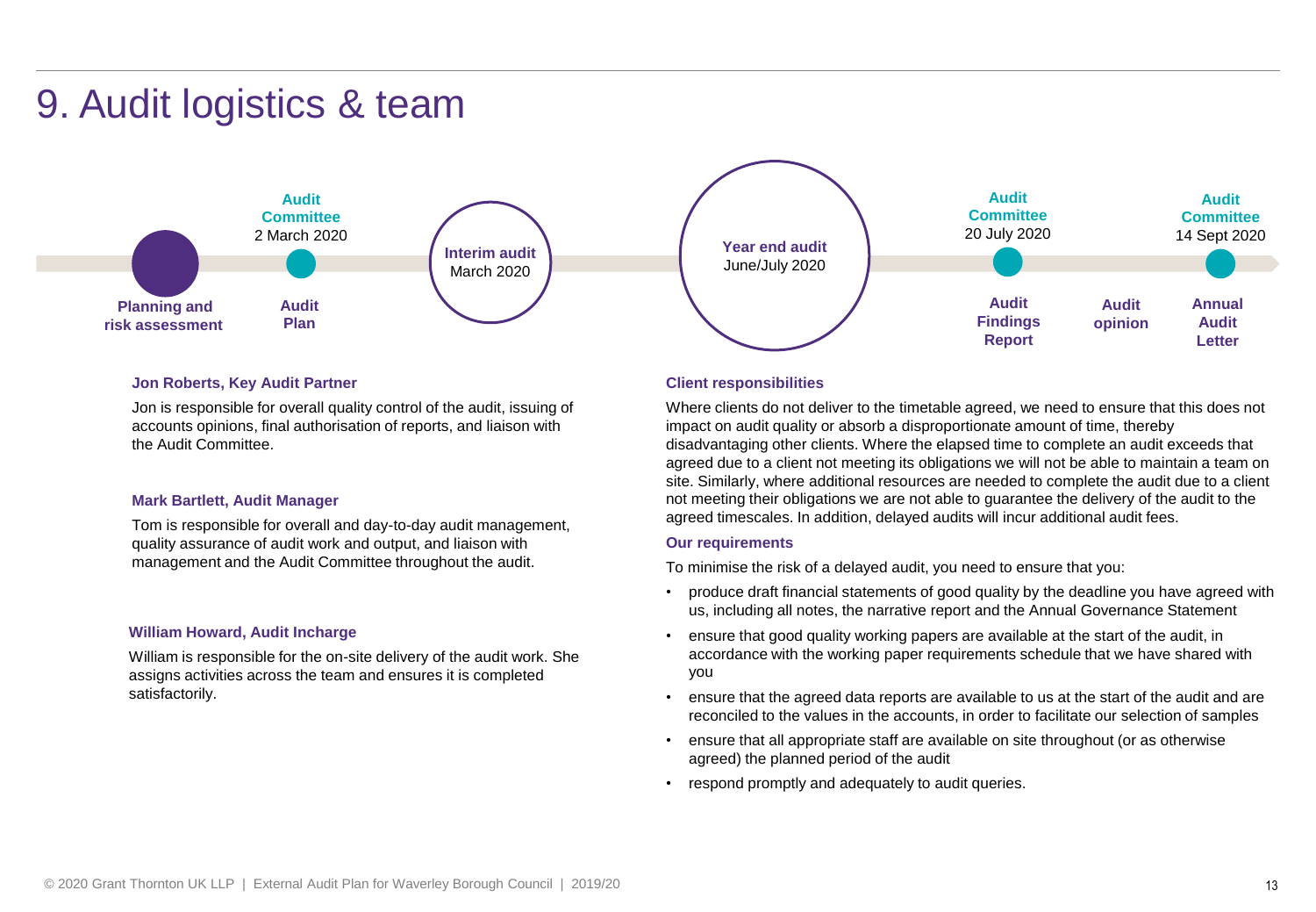### 9. Audit logistics & team



#### **Jon Roberts, Key Audit Partner**

Jon is responsible for overall quality control of the audit, issuing of accounts opinions, final authorisation of reports, and liaison with the Audit Committee.

#### **Mark Bartlett, Audit Manager**

Tom is responsible for overall and day-to-day audit management, quality assurance of audit work and output, and liaison with management and the Audit Committee throughout the audit.

#### **William Howard, Audit Incharge**

William is responsible for the on-site delivery of the audit work. She assigns activities across the team and ensures it is completed satisfactorily.

#### **Client responsibilities**

Where clients do not deliver to the timetable agreed, we need to ensure that this does not impact on audit quality or absorb a disproportionate amount of time, thereby disadvantaging other clients. Where the elapsed time to complete an audit exceeds that agreed due to a client not meeting its obligations we will not be able to maintain a team on site. Similarly, where additional resources are needed to complete the audit due to a client not meeting their obligations we are not able to guarantee the delivery of the audit to the agreed timescales. In addition, delayed audits will incur additional audit fees.

#### **Our requirements**

To minimise the risk of a delayed audit, you need to ensure that you:

- produce draft financial statements of good quality by the deadline you have agreed with us, including all notes, the narrative report and the Annual Governance Statement
- ensure that good quality working papers are available at the start of the audit, in accordance with the working paper requirements schedule that we have shared with you
- ensure that the agreed data reports are available to us at the start of the audit and are reconciled to the values in the accounts, in order to facilitate our selection of samples
- ensure that all appropriate staff are available on site throughout (or as otherwise agreed) the planned period of the audit
- respond promptly and adequately to audit queries.

**Audit**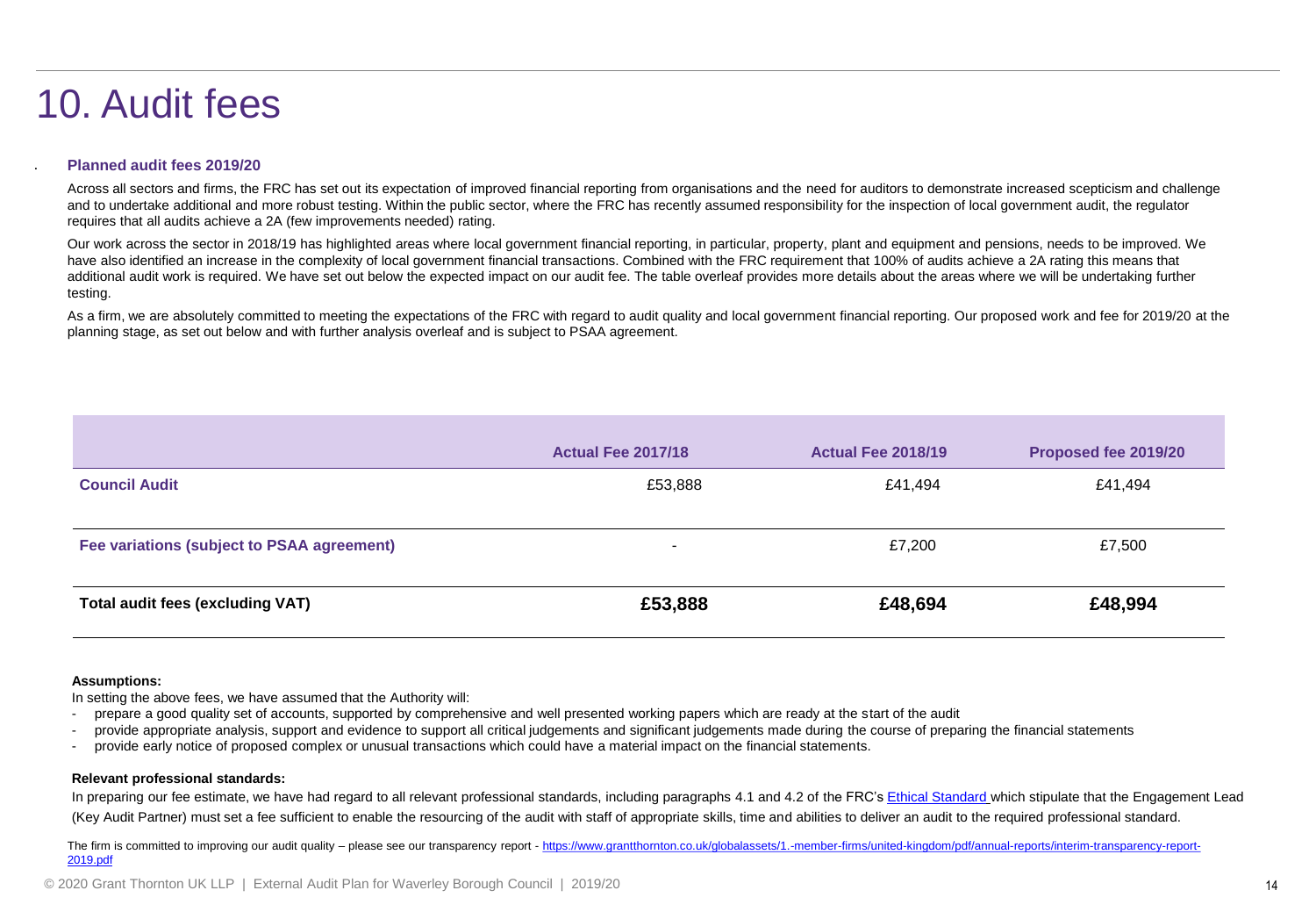### 10. Audit fees

### **Planned audit fees 2019/20**

.

Across all sectors and firms, the FRC has set out its expectation of improved financial reporting from organisations and the need for auditors to demonstrate increased scepticism and challenge and to undertake additional and more robust testing. Within the public sector, where the FRC has recently assumed responsibility for the inspection of local government audit, the regulator requires that all audits achieve a 2A (few improvements needed) rating.

Our work across the sector in 2018/19 has highlighted areas where local government financial reporting, in particular, property, plant and equipment and pensions, needs to be improved. We have also identified an increase in the complexity of local government financial transactions. Combined with the FRC requirement that 100% of audits achieve a 2A rating this means that additional audit work is required. We have set out below the expected impact on our audit fee. The table overleaf provides more details about the areas where we will be undertaking further testing.

As a firm, we are absolutely committed to meeting the expectations of the FRC with regard to audit quality and local government financial reporting. Our proposed work and fee for 2019/20 at the planning stage, as set out below and with further analysis overleaf and is subject to PSAA agreement.

|                                            | <b>Actual Fee 2017/18</b> | <b>Actual Fee 2018/19</b> | Proposed fee 2019/20 |
|--------------------------------------------|---------------------------|---------------------------|----------------------|
| <b>Council Audit</b>                       | £53,888                   | £41,494                   | £41,494              |
| Fee variations (subject to PSAA agreement) | $\overline{\phantom{0}}$  | £7,200                    | £7,500               |
| Total audit fees (excluding VAT)           | £53,888                   | £48,694                   | £48,994              |

#### **Assumptions:**

In setting the above fees, we have assumed that the Authority will:

- prepare a good quality set of accounts, supported by comprehensive and well presented working papers which are ready at the start of the audit
- provide appropriate analysis, support and evidence to support all critical judgements and significant judgements made during the course of preparing the financial statements
- provide early notice of proposed complex or unusual transactions which could have a material impact on the financial statements.

#### **Relevant professional standards:**

In preparing our fee estimate, we have had regard to all relevant professional standards, including paragraphs 4.1 and 4.2 of the FRC's [Ethical Standard](https://www.frc.org.uk/getattachment/0bd6ee4e-075c-4b55-a4ad-b8e5037b56c6/Revised-Ethical-Standard-2016-UK.pdf) which stipulate that the Engagement Lead (Key Audit Partner) must set a fee sufficient to enable the resourcing of the audit with staff of appropriate skills, time and abilities to deliver an audit to the required professional standard.

The firm is committed to improving our audit quality – please see our transparency report - [https://www.grantthornton.co.uk/globalassets/1.-member-firms/united-kingdom/pdf/annual-reports/interim-transparency-report-](https://www.grantthornton.co.uk/globalassets/1.-member-firms/united-kingdom/pdf/annual-reports/interim-transparency-report-2019.pdf)2019.pdf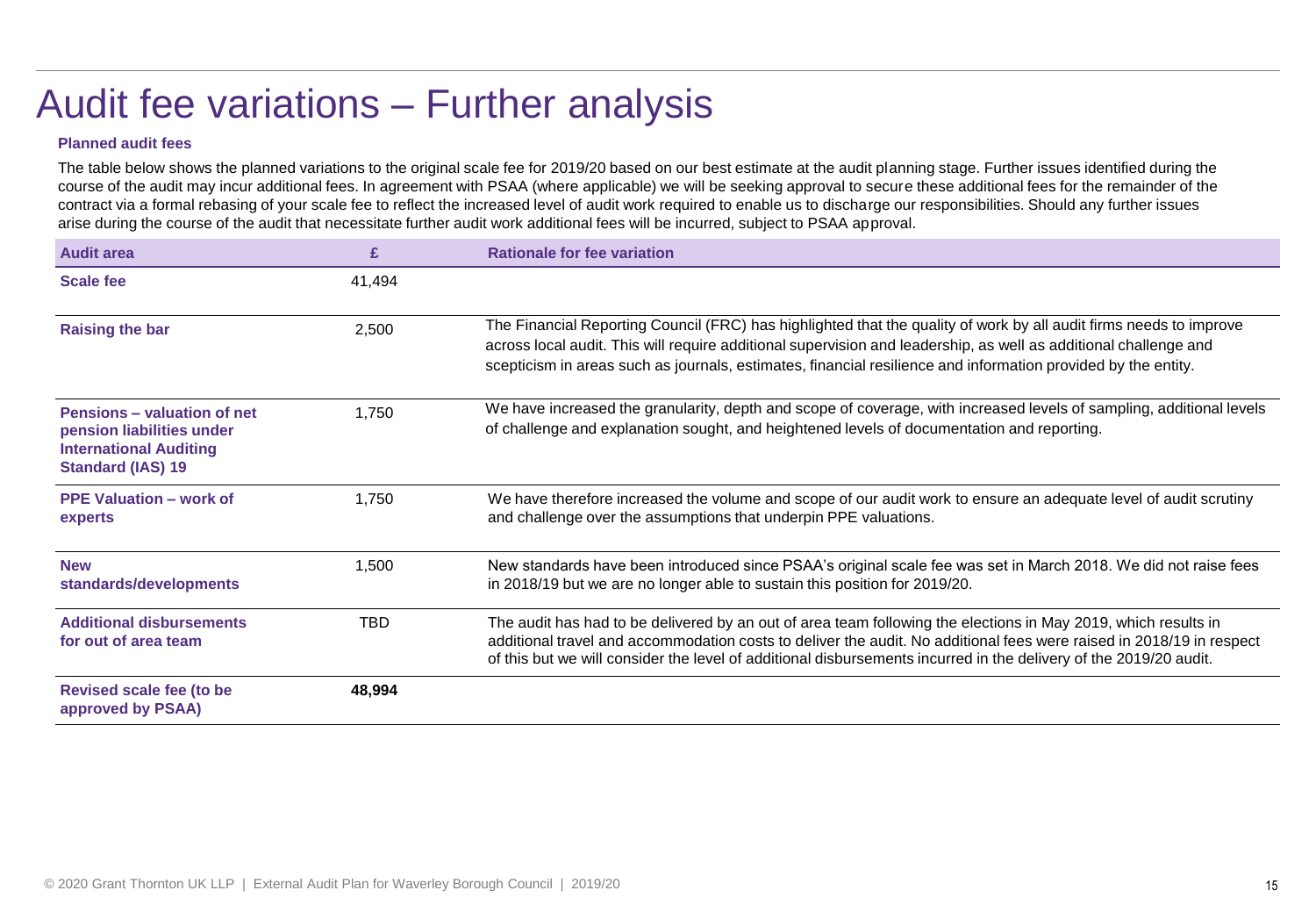## Audit fee variations – Further analysis

### **Planned audit fees**

The table below shows the planned variations to the original scale fee for 2019/20 based on our best estimate at the audit planning stage. Further issues identified during the course of the audit may incur additional fees. In agreement with PSAA (where applicable) we will be seeking approval to secure these additional fees for the remainder of the contract via a formal rebasing of your scale fee to reflect the increased level of audit work required to enable us to discharge our responsibilities. Should any further issues arise during the course of the audit that necessitate further audit work additional fees will be incurred, subject to PSAA approval.

| <b>Audit area</b>                                                                                                     | £          | <b>Rationale for fee variation</b>                                                                                                                                                                                                                                                                                                                          |
|-----------------------------------------------------------------------------------------------------------------------|------------|-------------------------------------------------------------------------------------------------------------------------------------------------------------------------------------------------------------------------------------------------------------------------------------------------------------------------------------------------------------|
| <b>Scale fee</b>                                                                                                      | 41,494     |                                                                                                                                                                                                                                                                                                                                                             |
| <b>Raising the bar</b>                                                                                                | 2,500      | The Financial Reporting Council (FRC) has highlighted that the quality of work by all audit firms needs to improve<br>across local audit. This will require additional supervision and leadership, as well as additional challenge and<br>scepticism in areas such as journals, estimates, financial resilience and information provided by the entity.     |
| Pensions - valuation of net<br>pension liabilities under<br><b>International Auditing</b><br><b>Standard (IAS) 19</b> | 1,750      | We have increased the granularity, depth and scope of coverage, with increased levels of sampling, additional levels<br>of challenge and explanation sought, and heightened levels of documentation and reporting.                                                                                                                                          |
| <b>PPE Valuation - work of</b><br>experts                                                                             | 1,750      | We have therefore increased the volume and scope of our audit work to ensure an adequate level of audit scrutiny<br>and challenge over the assumptions that underpin PPE valuations.                                                                                                                                                                        |
| <b>New</b><br>standards/developments                                                                                  | 1,500      | New standards have been introduced since PSAA's original scale fee was set in March 2018. We did not raise fees<br>in 2018/19 but we are no longer able to sustain this position for 2019/20.                                                                                                                                                               |
| <b>Additional disbursements</b><br>for out of area team                                                               | <b>TBD</b> | The audit has had to be delivered by an out of area team following the elections in May 2019, which results in<br>additional travel and accommodation costs to deliver the audit. No additional fees were raised in 2018/19 in respect<br>of this but we will consider the level of additional disbursements incurred in the delivery of the 2019/20 audit. |
| <b>Revised scale fee (to be</b><br>approved by PSAA)                                                                  | 48,994     |                                                                                                                                                                                                                                                                                                                                                             |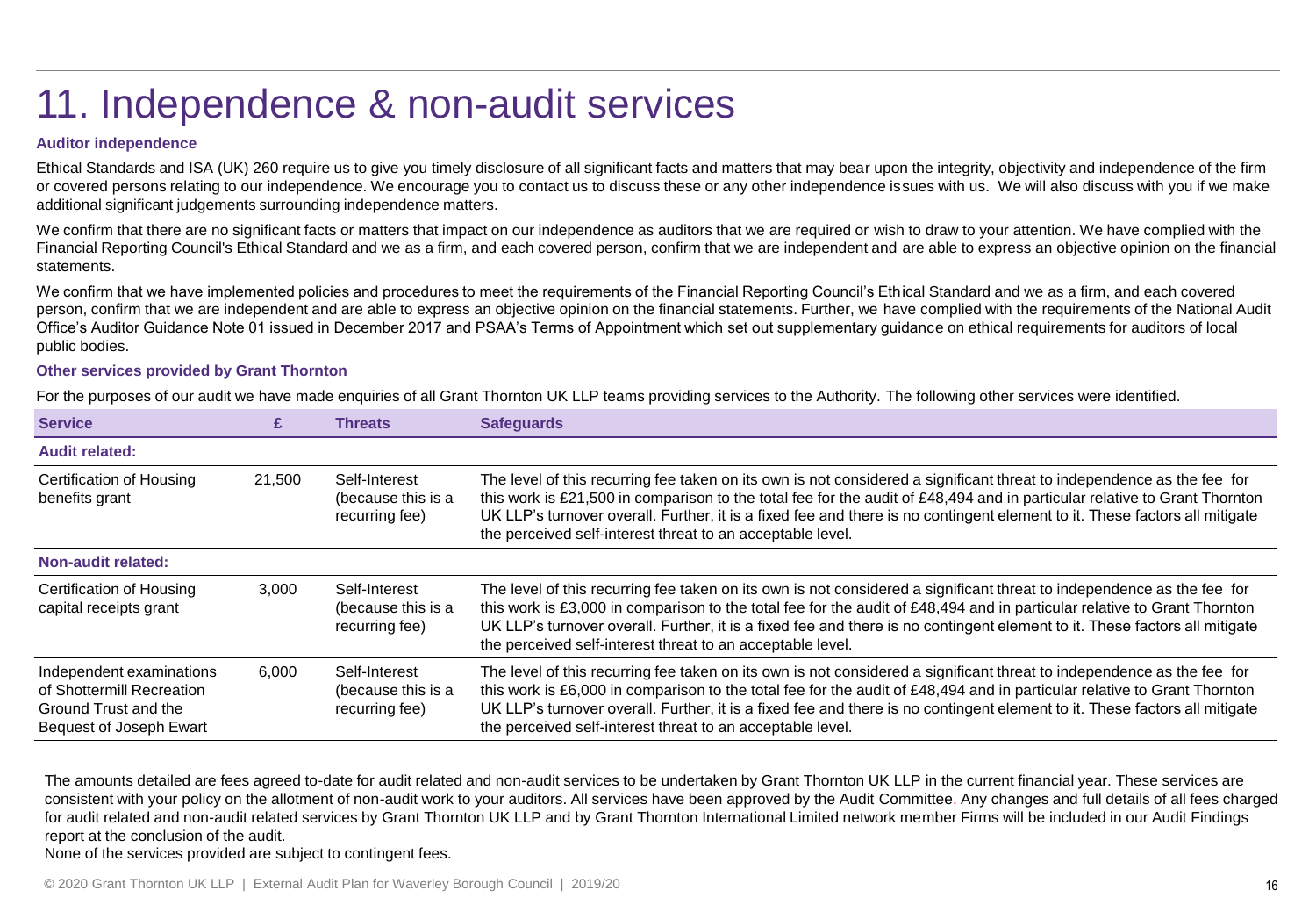## 11. Independence & non-audit services

### **Auditor independence**

Ethical Standards and ISA (UK) 260 require us to give you timely disclosure of all significant facts and matters that may bear upon the integrity, objectivity and independence of the firm or covered persons relating to our independence. We encourage you to contact us to discuss these or any other independence issues with us. We will also discuss with you if we make additional significant judgements surrounding independence matters.

We confirm that there are no significant facts or matters that impact on our independence as auditors that we are required or wish to draw to your attention. We have complied with the Financial Reporting Council's Ethical Standard and we as a firm, and each covered person, confirm that we are independent and are able to express an objective opinion on the financial statements.

We confirm that we have implemented policies and procedures to meet the requirements of the Financial Reporting Council's Ethical Standard and we as a firm, and each covered person, confirm that we are independent and are able to express an objective opinion on the financial statements. Further, we have complied with the requirements of the National Audit Office's Auditor Guidance Note 01 issued in December 2017 and PSAA's Terms of Appointment which set out supplementary guidance on ethical requirements for auditors of local public bodies.

#### **Other services provided by Grant Thornton**

For the purposes of our audit we have made enquiries of all Grant Thornton UK LLP teams providing services to the Authority. The following other services were identified.

| <b>Service</b>                                                                                           |        | <b>Threats</b>                                        | <b>Safequards</b>                                                                                                                                                                                                                                                                                                                                                                                                                               |
|----------------------------------------------------------------------------------------------------------|--------|-------------------------------------------------------|-------------------------------------------------------------------------------------------------------------------------------------------------------------------------------------------------------------------------------------------------------------------------------------------------------------------------------------------------------------------------------------------------------------------------------------------------|
| <b>Audit related:</b>                                                                                    |        |                                                       |                                                                                                                                                                                                                                                                                                                                                                                                                                                 |
| Certification of Housing<br>benefits grant                                                               | 21.500 | Self-Interest<br>(because this is a<br>recurring fee) | The level of this recurring fee taken on its own is not considered a significant threat to independence as the fee for<br>this work is £21,500 in comparison to the total fee for the audit of £48,494 and in particular relative to Grant Thornton<br>UK LLP's turnover overall. Further, it is a fixed fee and there is no contingent element to it. These factors all mitigate<br>the perceived self-interest threat to an acceptable level. |
| <b>Non-audit related:</b>                                                                                |        |                                                       |                                                                                                                                                                                                                                                                                                                                                                                                                                                 |
| Certification of Housing<br>capital receipts grant                                                       | 3,000  | Self-Interest<br>(because this is a<br>recurring fee) | The level of this recurring fee taken on its own is not considered a significant threat to independence as the fee for<br>this work is £3,000 in comparison to the total fee for the audit of £48,494 and in particular relative to Grant Thornton<br>UK LLP's turnover overall. Further, it is a fixed fee and there is no contingent element to it. These factors all mitigate<br>the perceived self-interest threat to an acceptable level.  |
| Independent examinations<br>of Shottermill Recreation<br>Ground Trust and the<br>Bequest of Joseph Ewart | 6,000  | Self-Interest<br>(because this is a<br>recurring fee) | The level of this recurring fee taken on its own is not considered a significant threat to independence as the fee for<br>this work is £6,000 in comparison to the total fee for the audit of £48,494 and in particular relative to Grant Thornton<br>UK LLP's turnover overall. Further, it is a fixed fee and there is no contingent element to it. These factors all mitigate<br>the perceived self-interest threat to an acceptable level.  |

The amounts detailed are fees agreed to-date for audit related and non-audit services to be undertaken by Grant Thornton UK LLP in the current financial year. These services are consistent with your policy on the allotment of non-audit work to your auditors. All services have been approved by the Audit Committee. Any changes and full details of all fees charged for audit related and non-audit related services by Grant Thornton UK LLP and by Grant Thornton International Limited network member Firms will be included in our Audit Findings report at the conclusion of the audit.

None of the services provided are subject to contingent fees.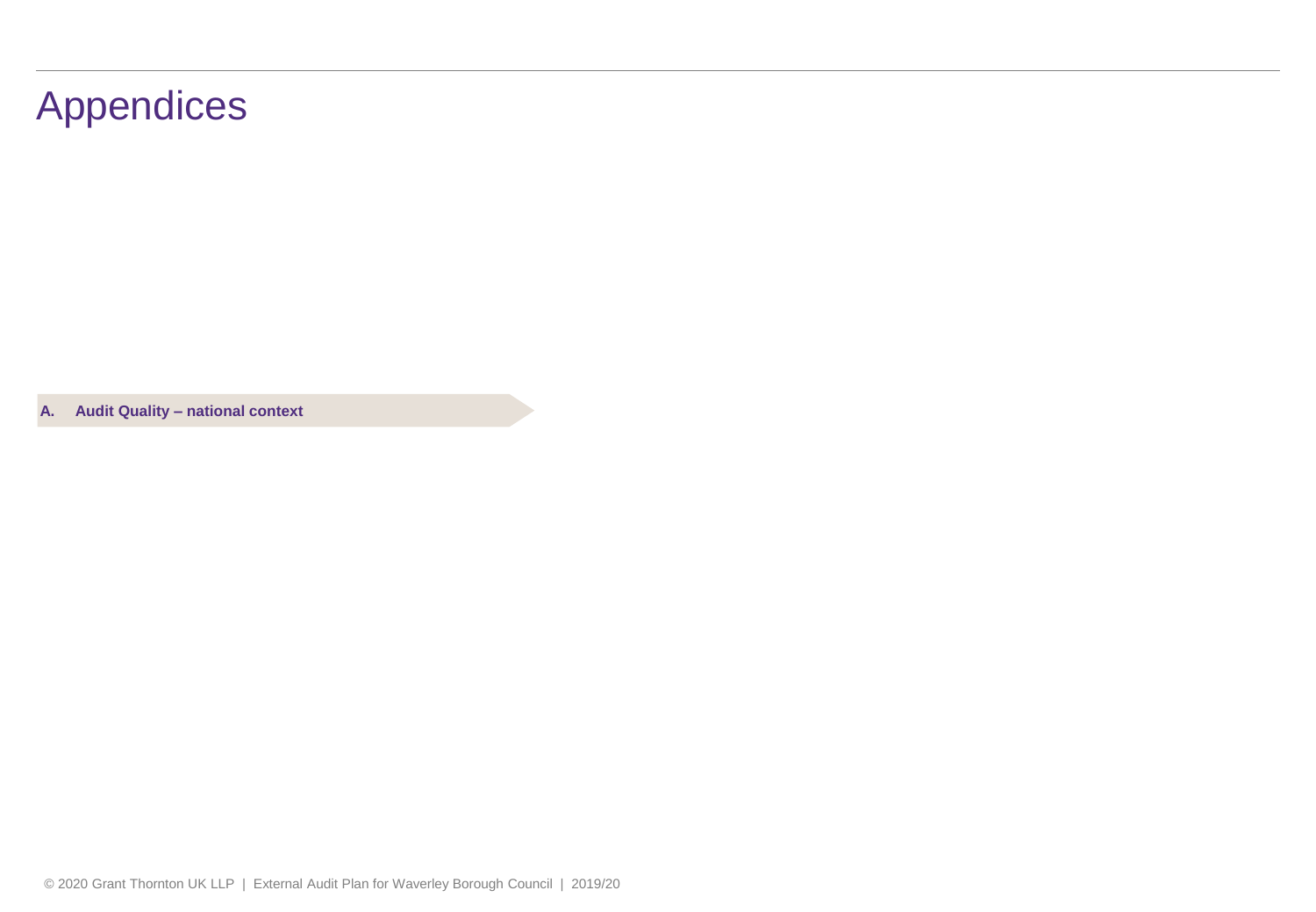### Appendices

**A. Audit Quality – national context**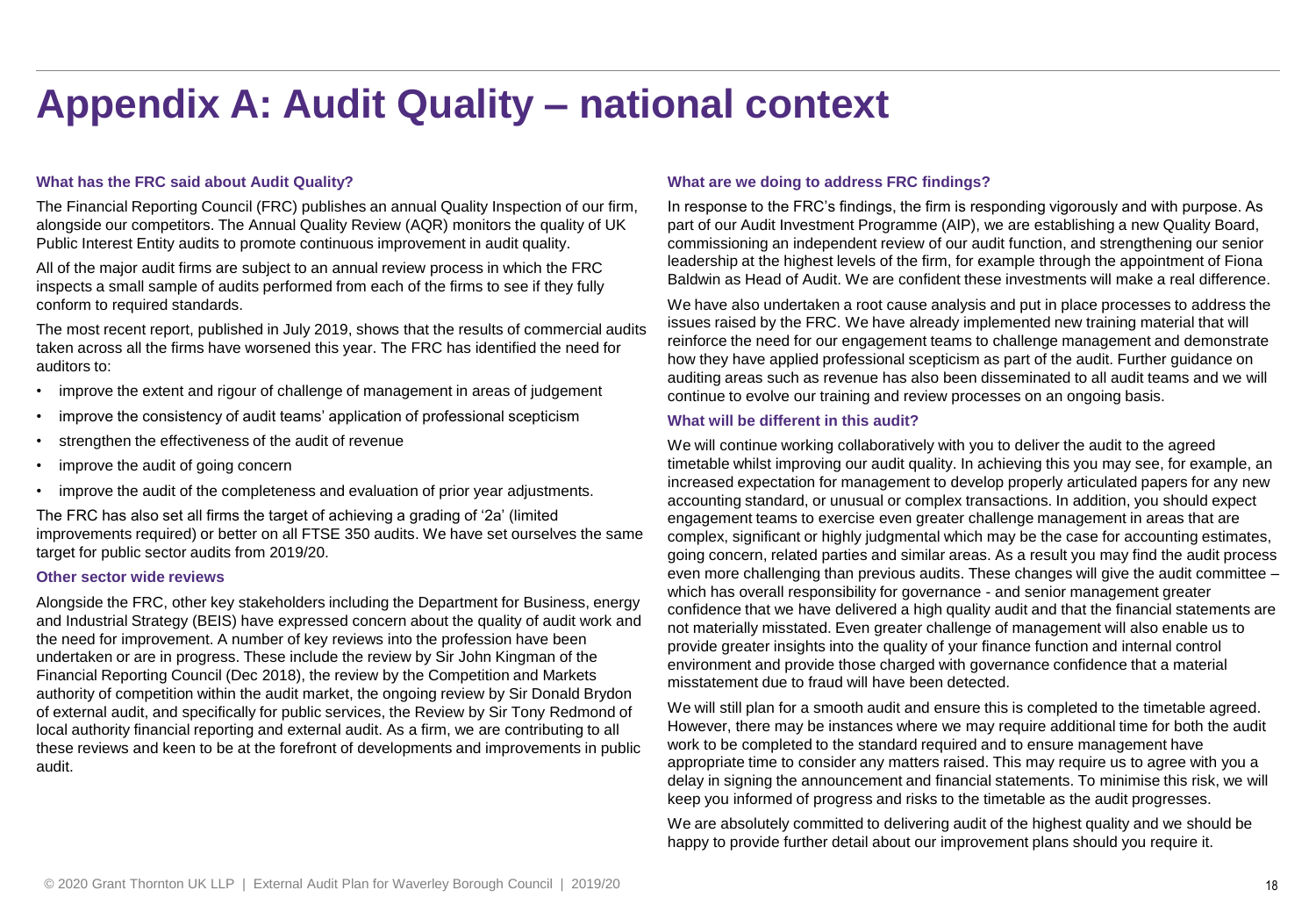### **Appendix A: Audit Quality – national context**

### **What has the FRC said about Audit Quality?**

The Financial Reporting Council (FRC) publishes an annual Quality Inspection of our firm, alongside our competitors. The Annual Quality Review (AQR) monitors the quality of UK Public Interest Entity audits to promote continuous improvement in audit quality.

All of the major audit firms are subject to an annual review process in which the FRC inspects a small sample of audits performed from each of the firms to see if they fully conform to required standards.

The most recent report, published in July 2019, shows that the results of commercial audits taken across all the firms have worsened this year. The FRC has identified the need for auditors to:

- improve the extent and rigour of challenge of management in areas of judgement
- improve the consistency of audit teams' application of professional scepticism
- strengthen the effectiveness of the audit of revenue
- improve the audit of going concern
- improve the audit of the completeness and evaluation of prior year adjustments.

The FRC has also set all firms the target of achieving a grading of '2a' (limited improvements required) or better on all FTSE 350 audits. We have set ourselves the same target for public sector audits from 2019/20.

#### **Other sector wide reviews**

Alongside the FRC, other key stakeholders including the Department for Business, energy and Industrial Strategy (BEIS) have expressed concern about the quality of audit work and the need for improvement. A number of key reviews into the profession have been undertaken or are in progress. These include the review by Sir John Kingman of the Financial Reporting Council (Dec 2018), the review by the Competition and Markets authority of competition within the audit market, the ongoing review by Sir Donald Brydon of external audit, and specifically for public services, the Review by Sir Tony Redmond of local authority financial reporting and external audit. As a firm, we are contributing to all these reviews and keen to be at the forefront of developments and improvements in public audit.

#### **What are we doing to address FRC findings?**

In response to the FRC's findings, the firm is responding vigorously and with purpose. As part of our Audit Investment Programme (AIP), we are establishing a new Quality Board, commissioning an independent review of our audit function, and strengthening our senior leadership at the highest levels of the firm, for example through the appointment of Fiona Baldwin as Head of Audit. We are confident these investments will make a real difference.

We have also undertaken a root cause analysis and put in place processes to address the issues raised by the FRC. We have already implemented new training material that will reinforce the need for our engagement teams to challenge management and demonstrate how they have applied professional scepticism as part of the audit. Further guidance on auditing areas such as revenue has also been disseminated to all audit teams and we will continue to evolve our training and review processes on an ongoing basis.

#### **What will be different in this audit?**

We will continue working collaboratively with you to deliver the audit to the agreed timetable whilst improving our audit quality. In achieving this you may see, for example, an increased expectation for management to develop properly articulated papers for any new accounting standard, or unusual or complex transactions. In addition, you should expect engagement teams to exercise even greater challenge management in areas that are complex, significant or highly judgmental which may be the case for accounting estimates, going concern, related parties and similar areas. As a result you may find the audit process even more challenging than previous audits. These changes will give the audit committee – which has overall responsibility for governance - and senior management greater confidence that we have delivered a high quality audit and that the financial statements are not materially misstated. Even greater challenge of management will also enable us to provide greater insights into the quality of your finance function and internal control environment and provide those charged with governance confidence that a material misstatement due to fraud will have been detected.

We will still plan for a smooth audit and ensure this is completed to the timetable agreed. However, there may be instances where we may require additional time for both the audit work to be completed to the standard required and to ensure management have appropriate time to consider any matters raised. This may require us to agree with you a delay in signing the announcement and financial statements. To minimise this risk, we will keep you informed of progress and risks to the timetable as the audit progresses.

We are absolutely committed to delivering audit of the highest quality and we should be happy to provide further detail about our improvement plans should you require it.